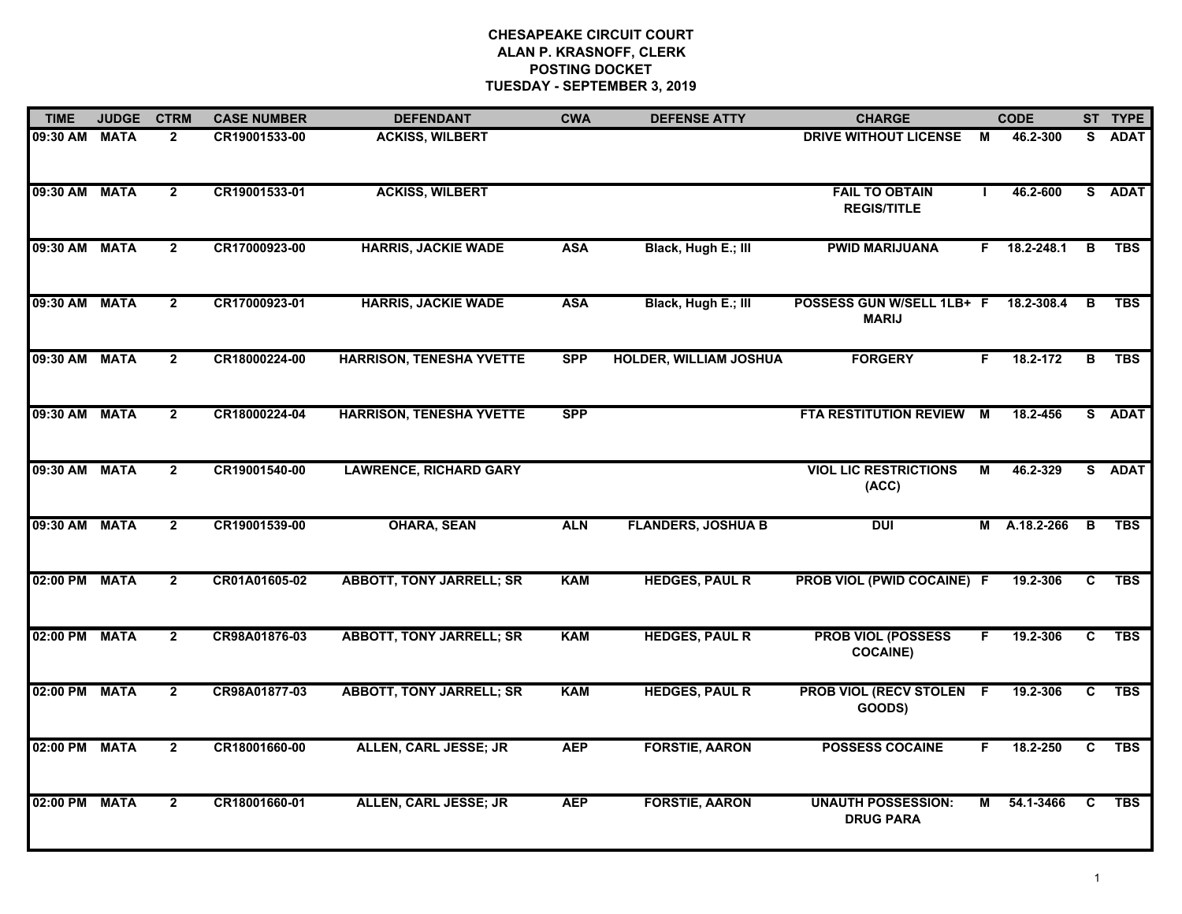| <b>TIME</b>   | <b>JUDGE</b> | <b>CTRM</b>    | <b>CASE NUMBER</b> | <b>DEFENDANT</b>                | <b>CWA</b> | <b>DEFENSE ATTY</b>           | <b>CHARGE</b>                                 |              | <b>CODE</b>    |                | ST TYPE     |
|---------------|--------------|----------------|--------------------|---------------------------------|------------|-------------------------------|-----------------------------------------------|--------------|----------------|----------------|-------------|
| 09:30 AM      | <b>MATA</b>  | $\overline{2}$ | CR19001533-00      | <b>ACKISS, WILBERT</b>          |            |                               | <b>DRIVE WITHOUT LICENSE</b>                  | M            | 46.2-300       | S.             | <b>ADAT</b> |
| 09:30 AM MATA |              | $\overline{2}$ | CR19001533-01      | <b>ACKISS, WILBERT</b>          |            |                               | <b>FAIL TO OBTAIN</b><br><b>REGIS/TITLE</b>   | $\mathbf{I}$ | 46.2-600       |                | S ADAT      |
| 09:30 AM MATA |              | $\overline{2}$ | CR17000923-00      | <b>HARRIS, JACKIE WADE</b>      | <b>ASA</b> | Black, Hugh E.; III           | <b>PWID MARIJUANA</b>                         |              | $F$ 18.2-248.1 | B              | <b>TBS</b>  |
| 09:30 AM MATA |              | $\overline{2}$ | CR17000923-01      | <b>HARRIS, JACKIE WADE</b>      | <b>ASA</b> | Black, Hugh E.; III           | POSSESS GUN W/SELL 1LB+ F<br><b>MARIJ</b>     |              | 18.2-308.4     | B              | <b>TBS</b>  |
| 09:30 AM      | <b>MATA</b>  | $\overline{2}$ | CR18000224-00      | <b>HARRISON, TENESHA YVETTE</b> | <b>SPP</b> | <b>HOLDER, WILLIAM JOSHUA</b> | <b>FORGERY</b>                                | F.           | 18.2-172       | в              | <b>TBS</b>  |
| 09:30 AM MATA |              | $\overline{2}$ | CR18000224-04      | <b>HARRISON, TENESHA YVETTE</b> | <b>SPP</b> |                               | <b>FTA RESTITUTION REVIEW M</b>               |              | 18.2-456       |                | S ADAT      |
| 09:30 AM MATA |              | $\overline{2}$ | CR19001540-00      | <b>LAWRENCE, RICHARD GARY</b>   |            |                               | <b>VIOL LIC RESTRICTIONS</b><br>(ACC)         | M            | 46.2-329       |                | S ADAT      |
| 09:30 AM MATA |              | $\overline{2}$ | CR19001539-00      | <b>OHARA, SEAN</b>              | <b>ALN</b> | <b>FLANDERS, JOSHUA B</b>     | <b>DUI</b>                                    | м            | A.18.2-266     | B              | <b>TBS</b>  |
| 02:00 PM      | <b>MATA</b>  | $\overline{2}$ | CR01A01605-02      | <b>ABBOTT, TONY JARRELL; SR</b> | <b>KAM</b> | <b>HEDGES, PAUL R</b>         | PROB VIOL (PWID COCAINE) F                    |              | 19.2-306       | C              | <b>TBS</b>  |
| 02:00 PM      | <b>MATA</b>  | $\mathbf{2}$   | CR98A01876-03      | <b>ABBOTT, TONY JARRELL; SR</b> | <b>KAM</b> | <b>HEDGES, PAUL R</b>         | <b>PROB VIOL (POSSESS</b><br><b>COCAINE)</b>  | F.           | 19.2-306       | $\overline{c}$ | <b>TBS</b>  |
| 02:00 PM MATA |              | $\overline{2}$ | CR98A01877-03      | <b>ABBOTT, TONY JARRELL; SR</b> | <b>KAM</b> | <b>HEDGES, PAUL R</b>         | <b>PROB VIOL (RECV STOLEN F</b><br>GOODS)     |              | 19.2-306       | C.             | <b>TBS</b>  |
| 02:00 PM      | <b>MATA</b>  | $\overline{2}$ | CR18001660-00      | <b>ALLEN, CARL JESSE; JR</b>    | <b>AEP</b> | <b>FORSTIE, AARON</b>         | <b>POSSESS COCAINE</b>                        | F.           | 18.2-250       | C              | <b>TBS</b>  |
| 02:00 PM      | <b>MATA</b>  | $\overline{2}$ | CR18001660-01      | <b>ALLEN, CARL JESSE; JR</b>    | <b>AEP</b> | <b>FORSTIE, AARON</b>         | <b>UNAUTH POSSESSION:</b><br><b>DRUG PARA</b> | M            | 54.1-3466      | $\mathbf{c}$   | <b>TBS</b>  |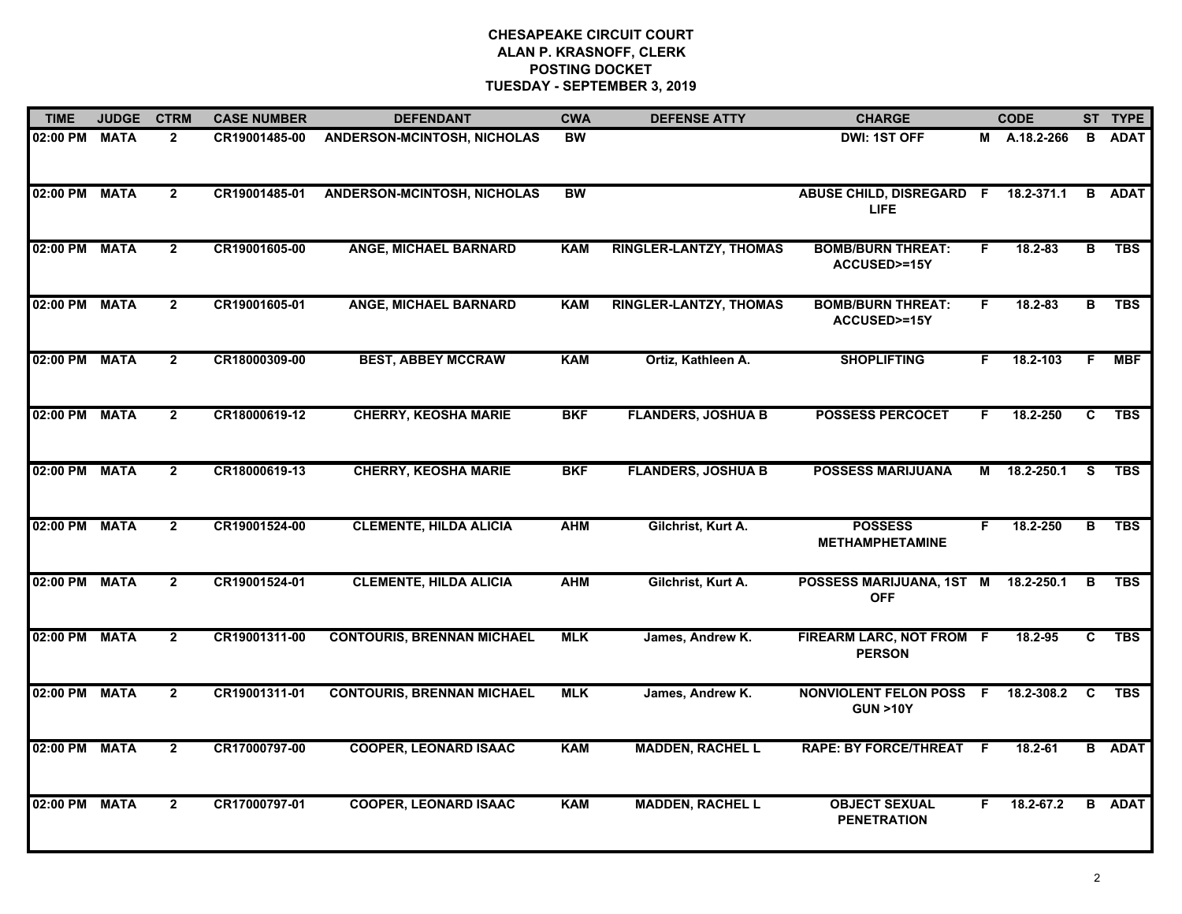| <b>TIME</b>   | <b>JUDGE</b> | <b>CTRM</b>    | <b>CASE NUMBER</b> | <b>DEFENDANT</b>                  | <b>CWA</b>      | <b>DEFENSE ATTY</b>           | <b>CHARGE</b>                                        |    | <b>CODE</b>   |    | ST TYPE       |
|---------------|--------------|----------------|--------------------|-----------------------------------|-----------------|-------------------------------|------------------------------------------------------|----|---------------|----|---------------|
| 02:00 PM      | <b>MATA</b>  | $\mathbf{2}$   | CR19001485-00      | ANDERSON-MCINTOSH, NICHOLAS       | BW              |                               | DWI: 1ST OFF                                         | М  | A.18.2-266    | В  | <b>ADAT</b>   |
| 02:00 PM      | <b>MATA</b>  | $\overline{2}$ | CR19001485-01      | ANDERSON-MCINTOSH, NICHOLAS       | $\overline{BW}$ |                               | ABUSE CHILD, DISREGARD F<br>LIFE.                    |    | 18.2-371.1    |    | <b>B</b> ADAT |
| 02:00 PM MATA |              | $\mathbf{2}$   | CR19001605-00      | <b>ANGE, MICHAEL BARNARD</b>      | <b>KAM</b>      | <b>RINGLER-LANTZY, THOMAS</b> | <b>BOMB/BURN THREAT:</b><br><b>ACCUSED&gt;=15Y</b>   | F. | 18.2-83       | B  | <b>TBS</b>    |
| 02:00 PM      | <b>MATA</b>  | $\overline{2}$ | CR19001605-01      | <b>ANGE, MICHAEL BARNARD</b>      | <b>KAM</b>      | <b>RINGLER-LANTZY, THOMAS</b> | <b>BOMB/BURN THREAT:</b><br>ACCUSED>=15Y             | F. | 18.2-83       | в  | <b>TBS</b>    |
| 02:00 PM      | <b>MATA</b>  | $\overline{2}$ | CR18000309-00      | <b>BEST, ABBEY MCCRAW</b>         | <b>KAM</b>      | Ortiz, Kathleen A.            | <b>SHOPLIFTING</b>                                   | F. | 18.2-103      | F. | <b>MBF</b>    |
| 02:00 PM      | <b>MATA</b>  | $\overline{2}$ | CR18000619-12      | <b>CHERRY, KEOSHA MARIE</b>       | <b>BKF</b>      | <b>FLANDERS, JOSHUA B</b>     | <b>POSSESS PERCOCET</b>                              | F. | 18.2-250      | C  | <b>TBS</b>    |
| 02:00 PM      | <b>MATA</b>  | $\overline{2}$ | CR18000619-13      | <b>CHERRY, KEOSHA MARIE</b>       | <b>BKF</b>      | <b>FLANDERS, JOSHUA B</b>     | <b>POSSESS MARIJUANA</b>                             | M  | 18.2-250.1    | S. | <b>TBS</b>    |
| 02:00 PM      | <b>MATA</b>  | $\mathbf{2}$   | CR19001524-00      | <b>CLEMENTE, HILDA ALICIA</b>     | <b>AHM</b>      | Gilchrist, Kurt A.            | <b>POSSESS</b><br><b>METHAMPHETAMINE</b>             | F. | 18.2-250      | B  | <b>TBS</b>    |
| 02:00 PM      | <b>MATA</b>  | $\overline{2}$ | CR19001524-01      | <b>CLEMENTE, HILDA ALICIA</b>     | <b>AHM</b>      | Gilchrist, Kurt A.            | POSSESS MARIJUANA, 1ST M<br><b>OFF</b>               |    | 18.2-250.1    | в  | <b>TBS</b>    |
| 02:00 PM      | <b>MATA</b>  | $\overline{2}$ | CR19001311-00      | <b>CONTOURIS, BRENNAN MICHAEL</b> | <b>MLK</b>      | James, Andrew K.              | FIREARM LARC, NOT FROM F<br><b>PERSON</b>            |    | 18.2-95       | C  | <b>TBS</b>    |
| 02:00 PM      | <b>MATA</b>  | $\overline{2}$ | CR19001311-01      | <b>CONTOURIS, BRENNAN MICHAEL</b> | <b>MLK</b>      | James, Andrew K.              | <b>NONVIOLENT FELON POSS F</b><br><b>GUN &gt;10Y</b> |    | 18.2-308.2    | C  | <b>TBS</b>    |
| 02:00 PM      | <b>MATA</b>  | $\overline{2}$ | CR17000797-00      | <b>COOPER, LEONARD ISAAC</b>      | <b>KAM</b>      | <b>MADDEN, RACHEL L</b>       | <b>RAPE: BY FORCE/THREAT F</b>                       |    | $18.2 - 61$   |    | <b>B</b> ADAT |
| 02:00 PM      | <b>MATA</b>  | $\mathbf{2}$   | CR17000797-01      | <b>COOPER, LEONARD ISAAC</b>      | <b>KAM</b>      | <b>MADDEN, RACHEL L</b>       | <b>OBJECT SEXUAL</b><br><b>PENETRATION</b>           | F. | $18.2 - 67.2$ |    | <b>B</b> ADAT |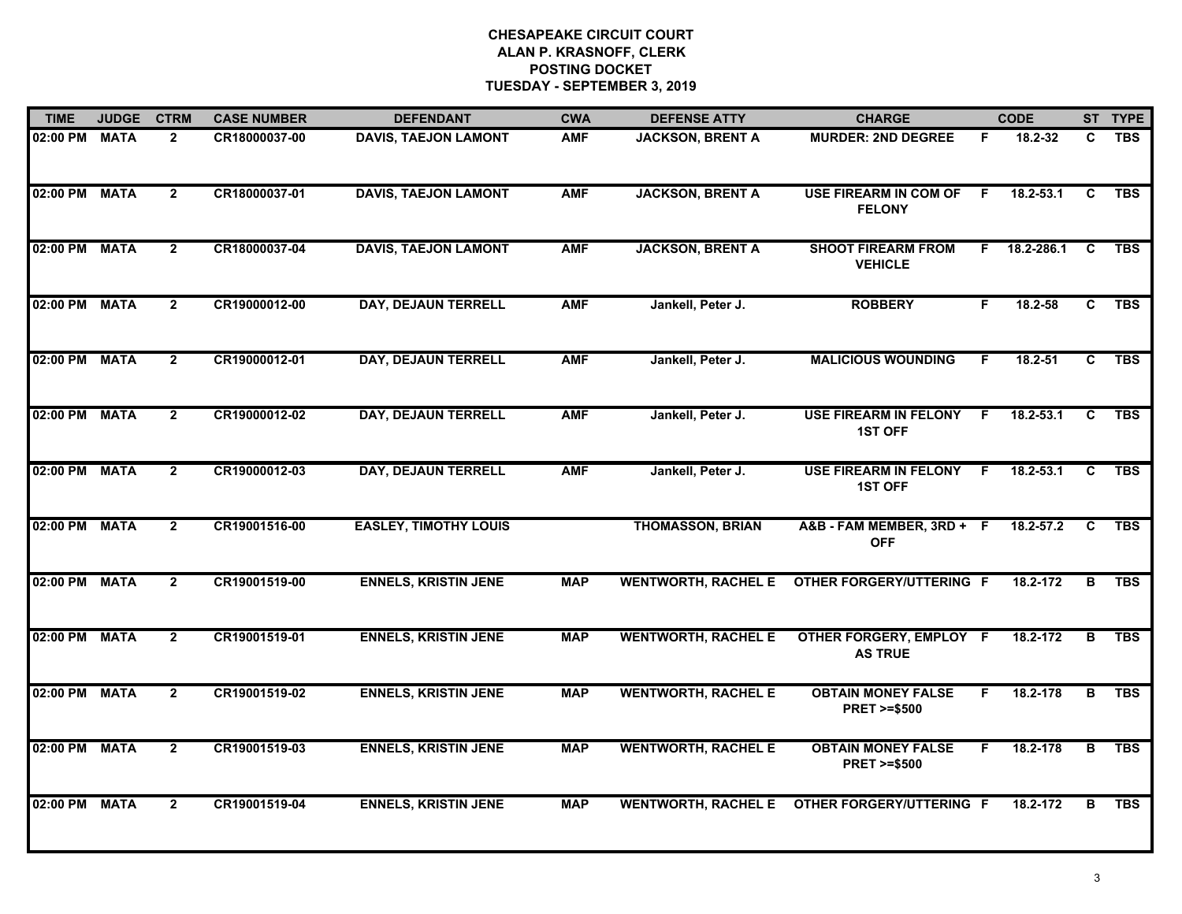| <b>TIME</b>   | <b>JUDGE</b> | <b>CTRM</b>    | <b>CASE NUMBER</b> | <b>DEFENDANT</b>             | <b>CWA</b> | <b>DEFENSE ATTY</b>        | <b>CHARGE</b>                                       |    | <b>CODE</b>   |                | ST TYPE    |
|---------------|--------------|----------------|--------------------|------------------------------|------------|----------------------------|-----------------------------------------------------|----|---------------|----------------|------------|
| 02:00 PM MATA |              | $\mathbf{2}$   | CR18000037-00      | <b>DAVIS, TAEJON LAMONT</b>  | <b>AMF</b> | <b>JACKSON, BRENT A</b>    | <b>MURDER: 2ND DEGREE</b>                           | F. | 18.2-32       | C              | <b>TBS</b> |
| 02:00 PM      | <b>MATA</b>  | $\mathbf{2}$   | CR18000037-01      | <b>DAVIS, TAEJON LAMONT</b>  | <b>AMF</b> | <b>JACKSON, BRENT A</b>    | <b>USE FIREARM IN COM OF</b><br><b>FELONY</b>       | F. | 18.2-53.1     | C              | <b>TBS</b> |
| 02:00 PM MATA |              | $2^{\circ}$    | CR18000037-04      | <b>DAVIS, TAEJON LAMONT</b>  | <b>AMF</b> | <b>JACKSON, BRENT A</b>    | <b>SHOOT FIREARM FROM</b><br><b>VEHICLE</b>         | F. | 18.2-286.1    | C              | <b>TBS</b> |
| 02:00 PM MATA |              | $\overline{2}$ | CR19000012-00      | <b>DAY, DEJAUN TERRELL</b>   | <b>AMF</b> | Jankell, Peter J.          | <b>ROBBERY</b>                                      | F. | 18.2-58       | C.             | <b>TBS</b> |
| 02:00 PM      | <b>MATA</b>  | $\overline{2}$ | CR19000012-01      | DAY, DEJAUN TERRELL          | <b>AMF</b> | Jankell, Peter J.          | <b>MALICIOUS WOUNDING</b>                           | F. | $18.2 - 51$   | C              | <b>TBS</b> |
| 02:00 PM      | <b>MATA</b>  | $\mathbf{2}$   | CR19000012-02      | DAY, DEJAUN TERRELL          | <b>AMF</b> | Jankell, Peter J.          | <b>USE FIREARM IN FELONY</b><br><b>1ST OFF</b>      | F. | 18.2-53.1     | C              | <b>TBS</b> |
| 02:00 PM MATA |              | $\mathbf{2}$   | CR19000012-03      | <b>DAY, DEJAUN TERRELL</b>   | <b>AMF</b> | Jankell, Peter J.          | USE FIREARM IN FELONY F<br><b>1ST OFF</b>           |    | $18.2 - 53.1$ | C              | <b>TBS</b> |
| 02:00 PM      | <b>MATA</b>  | $\overline{2}$ | CR19001516-00      | <b>EASLEY, TIMOTHY LOUIS</b> |            | <b>THOMASSON, BRIAN</b>    | A&B - FAM MEMBER, 3RD + F<br><b>OFF</b>             |    | 18.2-57.2     | C              | <b>TBS</b> |
| 02:00 PM MATA |              | $\overline{2}$ | CR19001519-00      | <b>ENNELS, KRISTIN JENE</b>  | <b>MAP</b> | <b>WENTWORTH, RACHEL E</b> | <b>OTHER FORGERY/UTTERING F</b>                     |    | 18.2-172      | в              | <b>TBS</b> |
| 02:00 PM MATA |              | $\overline{2}$ | CR19001519-01      | <b>ENNELS, KRISTIN JENE</b>  | <b>MAP</b> | <b>WENTWORTH, RACHEL E</b> | OTHER FORGERY, EMPLOY F<br><b>AS TRUE</b>           |    | 18.2-172      | в              | <b>TBS</b> |
| 02:00 PM MATA |              | $\overline{2}$ | CR19001519-02      | <b>ENNELS, KRISTIN JENE</b>  | <b>MAP</b> | <b>WENTWORTH, RACHEL E</b> | <b>OBTAIN MONEY FALSE</b><br><b>PRET &gt;=\$500</b> | F. | 18.2-178      | $\overline{B}$ | <b>TBS</b> |
| 02:00 PM      | <b>MATA</b>  | $\overline{2}$ | CR19001519-03      | <b>ENNELS, KRISTIN JENE</b>  | <b>MAP</b> | <b>WENTWORTH, RACHEL E</b> | <b>OBTAIN MONEY FALSE</b><br><b>PRET &gt;=\$500</b> | F. | 18.2-178      | B              | <b>TBS</b> |
| 02:00 PM MATA |              | $\mathbf{2}$   | CR19001519-04      | <b>ENNELS, KRISTIN JENE</b>  | <b>MAP</b> | <b>WENTWORTH, RACHEL E</b> | <b>OTHER FORGERY/UTTERING F</b>                     |    | 18.2-172      | В              | <b>TBS</b> |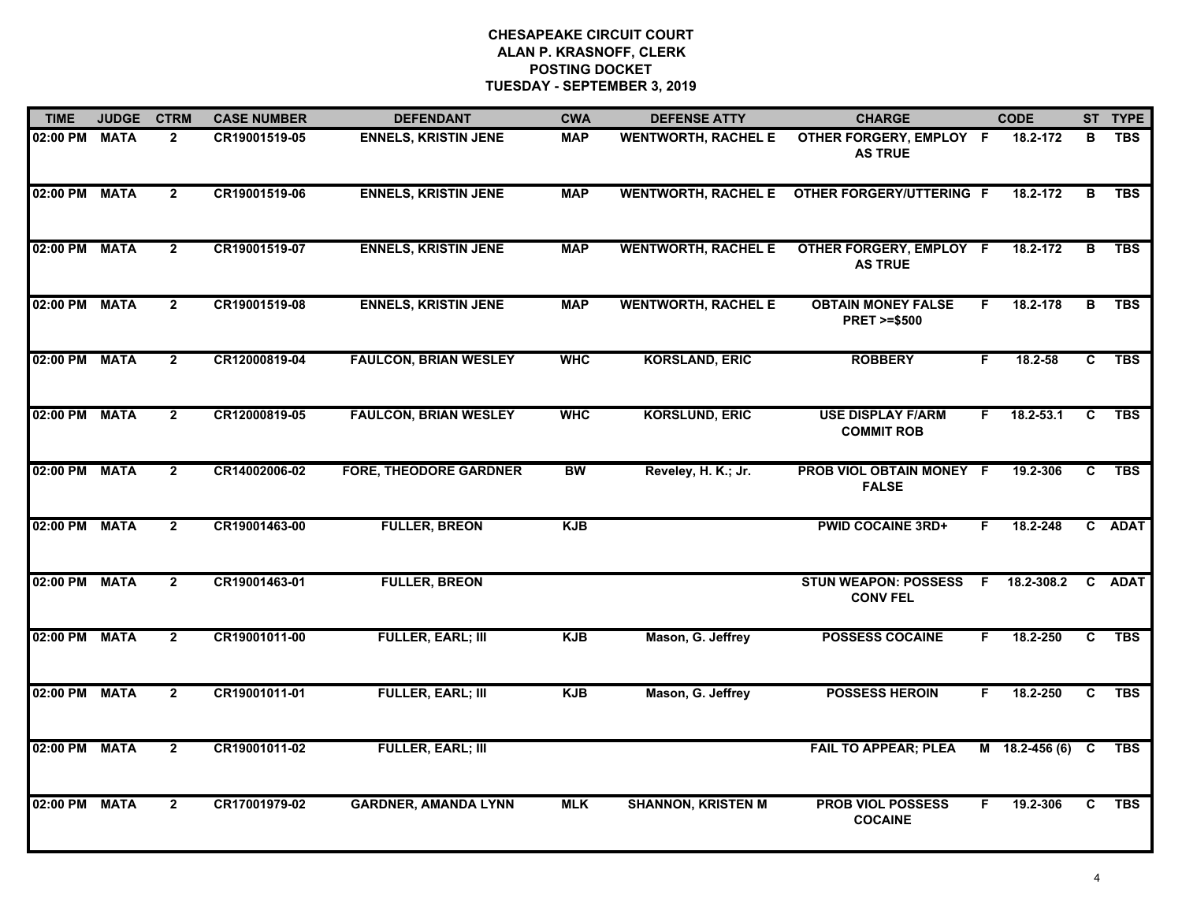| <b>TIME</b>   | <b>JUDGE</b> | <b>CTRM</b>    | <b>CASE NUMBER</b> | <b>DEFENDANT</b>              | <b>CWA</b> | <b>DEFENSE ATTY</b>        | <b>CHARGE</b>                                       |    | <b>CODE</b>      |              | ST TYPE    |
|---------------|--------------|----------------|--------------------|-------------------------------|------------|----------------------------|-----------------------------------------------------|----|------------------|--------------|------------|
| 02:00 PM MATA |              | $\overline{2}$ | CR19001519-05      | <b>ENNELS, KRISTIN JENE</b>   | <b>MAP</b> | <b>WENTWORTH, RACHEL E</b> | OTHER FORGERY, EMPLOY F<br><b>AS TRUE</b>           |    | 18.2-172         | в            | <b>TBS</b> |
| 02:00 PM MATA |              | $\overline{2}$ | CR19001519-06      | <b>ENNELS, KRISTIN JENE</b>   | <b>MAP</b> |                            | WENTWORTH, RACHEL E OTHER FORGERY/UTTERING F        |    | 18.2-172         | B            | <b>TBS</b> |
| 02:00 PM MATA |              | $\overline{2}$ | CR19001519-07      | <b>ENNELS, KRISTIN JENE</b>   | <b>MAP</b> | <b>WENTWORTH, RACHEL E</b> | OTHER FORGERY, EMPLOY F<br><b>AS TRUE</b>           |    | 18.2-172         | в            | <b>TBS</b> |
| 02:00 PM MATA |              | $\overline{2}$ | CR19001519-08      | <b>ENNELS, KRISTIN JENE</b>   | <b>MAP</b> | <b>WENTWORTH, RACHEL E</b> | <b>OBTAIN MONEY FALSE</b><br><b>PRET &gt;=\$500</b> | F. | 18.2-178         | B            | <b>TBS</b> |
| 02:00 PM MATA |              | $\overline{2}$ | CR12000819-04      | <b>FAULCON, BRIAN WESLEY</b>  | <b>WHC</b> | <b>KORSLAND, ERIC</b>      | <b>ROBBERY</b>                                      | F. | 18.2-58          | C.           | <b>TBS</b> |
| 02:00 PM MATA |              | $\mathbf{2}$   | CR12000819-05      | <b>FAULCON, BRIAN WESLEY</b>  | <b>WHC</b> | <b>KORSLUND, ERIC</b>      | <b>USE DISPLAY F/ARM</b><br><b>COMMIT ROB</b>       | F. | $18.2 - 53.1$    | C            | <b>TBS</b> |
| 02:00 PM MATA |              | $\mathbf{2}$   | CR14002006-02      | <b>FORE, THEODORE GARDNER</b> | <b>BW</b>  | Reveley, H. K.; Jr.        | PROB VIOL OBTAIN MONEY F<br><b>FALSE</b>            |    | 19.2-306         | $\mathbf{c}$ | <b>TBS</b> |
| 02:00 PM MATA |              | $\overline{2}$ | CR19001463-00      | <b>FULLER, BREON</b>          | <b>KJB</b> |                            | <b>PWID COCAINE 3RD+</b>                            | F. | 18.2-248         |              | C ADAT     |
| 02:00 PM MATA |              | $\mathbf{2}$   | CR19001463-01      | <b>FULLER, BREON</b>          |            |                            | <b>STUN WEAPON: POSSESS</b><br><b>CONV FEL</b>      | F. | 18.2-308.2       |              | C ADAT     |
| 02:00 PM MATA |              | $\overline{2}$ | CR19001011-00      | <b>FULLER, EARL; III</b>      | <b>KJB</b> | Mason, G. Jeffrey          | <b>POSSESS COCAINE</b>                              | F  | 18.2-250         | C            | <b>TBS</b> |
| 02:00 PM MATA |              | $\mathbf{2}$   | CR19001011-01      | <b>FULLER, EARL; III</b>      | <b>KJB</b> | Mason, G. Jeffrey          | <b>POSSESS HEROIN</b>                               | F. | 18.2-250         | C            | <b>TBS</b> |
| 02:00 PM      | <b>MATA</b>  | $\mathbf{2}$   | CR19001011-02      | <b>FULLER, EARL; III</b>      |            |                            | <b>FAIL TO APPEAR; PLEA</b>                         |    | $M$ 18.2-456 (6) | C            | <b>TBS</b> |
| 02:00 PM      | <b>MATA</b>  | $\overline{2}$ | CR17001979-02      | <b>GARDNER, AMANDA LYNN</b>   | <b>MLK</b> | <b>SHANNON, KRISTEN M</b>  | <b>PROB VIOL POSSESS</b><br><b>COCAINE</b>          | F. | 19.2-306         | C.           | <b>TBS</b> |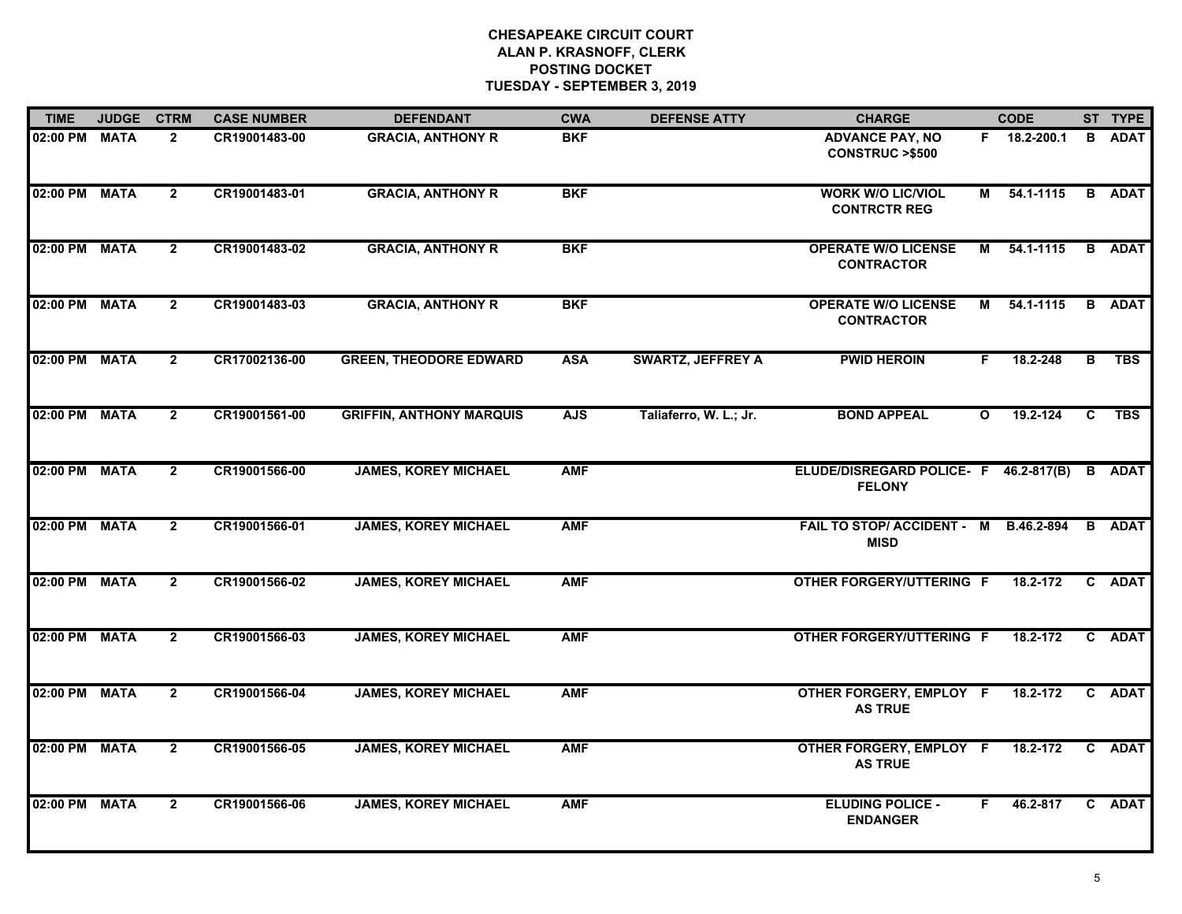| <b>TIME</b>   | <b>JUDGE</b> | <b>CTRM</b>    | <b>CASE NUMBER</b> | <b>DEFENDANT</b>                | <b>CWA</b> | <b>DEFENSE ATTY</b>      | <b>CHARGE</b>                                          |              | <b>CODE</b>  |   | ST TYPE       |
|---------------|--------------|----------------|--------------------|---------------------------------|------------|--------------------------|--------------------------------------------------------|--------------|--------------|---|---------------|
| 02:00 PM MATA |              | $\overline{2}$ | CR19001483-00      | <b>GRACIA, ANTHONY R</b>        | <b>BKF</b> |                          | <b>ADVANCE PAY, NO</b><br><b>CONSTRUC &gt;\$500</b>    |              | F 18.2-200.1 |   | <b>B</b> ADAT |
| 02:00 PM      | <b>MATA</b>  | $\overline{2}$ | CR19001483-01      | <b>GRACIA, ANTHONY R</b>        | <b>BKF</b> |                          | <b>WORK W/O LIC/VIOL</b><br><b>CONTRCTR REG</b>        | M            | 54.1-1115    |   | <b>B</b> ADAT |
| 02:00 PM      | <b>MATA</b>  | $\overline{2}$ | CR19001483-02      | <b>GRACIA, ANTHONY R</b>        | <b>BKF</b> |                          | <b>OPERATE W/O LICENSE</b><br><b>CONTRACTOR</b>        | M            | 54.1-1115    |   | <b>B</b> ADAT |
| 02:00 PM      | <b>MATA</b>  | $\overline{2}$ | CR19001483-03      | <b>GRACIA, ANTHONY R</b>        | <b>BKF</b> |                          | <b>OPERATE W/O LICENSE</b><br><b>CONTRACTOR</b>        | М            | 54.1-1115    |   | <b>B</b> ADAT |
| 02:00 PM      | <b>MATA</b>  | $\overline{2}$ | CR17002136-00      | <b>GREEN, THEODORE EDWARD</b>   | <b>ASA</b> | <b>SWARTZ, JEFFREY A</b> | <b>PWID HEROIN</b>                                     | F.           | 18.2-248     | B | <b>TBS</b>    |
| 02:00 PM MATA |              | $\overline{2}$ | CR19001561-00      | <b>GRIFFIN, ANTHONY MARQUIS</b> | <b>AJS</b> | Taliaferro, W. L.; Jr.   | <b>BOND APPEAL</b>                                     | $\mathbf{o}$ | 19.2-124     | C | <b>TBS</b>    |
| 02:00 PM      | <b>MATA</b>  | $\overline{2}$ | CR19001566-00      | <b>JAMES, KOREY MICHAEL</b>     | <b>AMF</b> |                          | ELUDE/DISREGARD POLICE- F 46.2-817(B)<br><b>FELONY</b> |              |              |   | <b>B</b> ADAT |
| 02:00 PM MATA |              | $\overline{2}$ | CR19001566-01      | <b>JAMES, KOREY MICHAEL</b>     | <b>AMF</b> |                          | FAIL TO STOP/ ACCIDENT - M B.46.2-894<br><b>MISD</b>   |              |              |   | <b>B</b> ADAT |
| 02:00 PM      | <b>MATA</b>  | $\overline{2}$ | CR19001566-02      | <b>JAMES, KOREY MICHAEL</b>     | <b>AMF</b> |                          | <b>OTHER FORGERY/UTTERING F</b>                        |              | 18.2-172     |   | C ADAT        |
| 02:00 PM      | <b>MATA</b>  | $\overline{2}$ | CR19001566-03      | <b>JAMES, KOREY MICHAEL</b>     | <b>AMF</b> |                          | <b>OTHER FORGERY/UTTERING F</b>                        |              | 18.2-172     |   | C ADAT        |
| 02:00 PM MATA |              | $\overline{2}$ | CR19001566-04      | <b>JAMES, KOREY MICHAEL</b>     | <b>AMF</b> |                          | OTHER FORGERY, EMPLOY F<br><b>AS TRUE</b>              |              | 18.2-172     |   | C ADAT        |
| 02:00 PM MATA |              | $\overline{2}$ | CR19001566-05      | <b>JAMES, KOREY MICHAEL</b>     | <b>AMF</b> |                          | OTHER FORGERY, EMPLOY F<br><b>AS TRUE</b>              |              | 18.2-172     |   | C ADAT        |
| 02:00 PM      | <b>MATA</b>  | $\overline{2}$ | CR19001566-06      | <b>JAMES, KOREY MICHAEL</b>     | <b>AMF</b> |                          | <b>ELUDING POLICE -</b><br><b>ENDANGER</b>             | F.           | 46.2-817     |   | C ADAT        |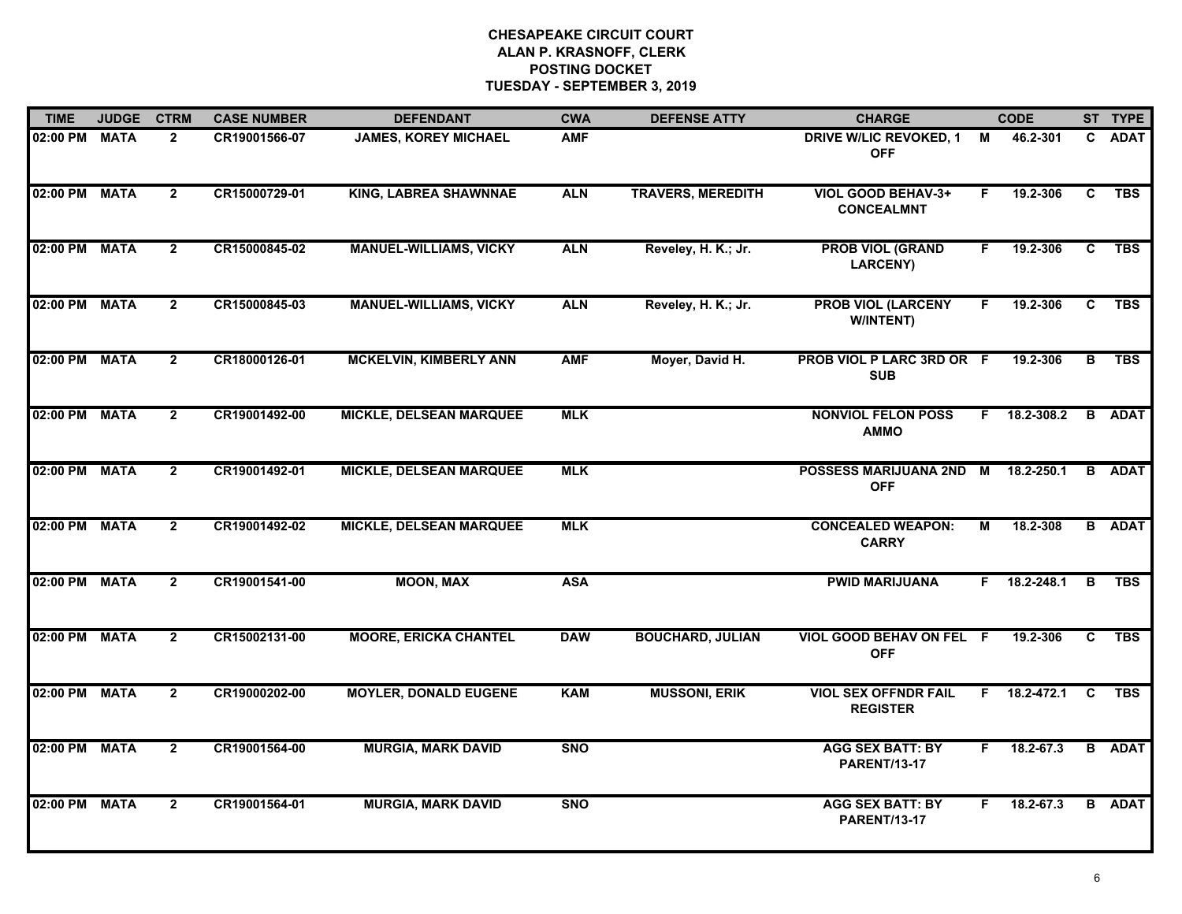| <b>TIME</b>   | <b>JUDGE</b> | <b>CTRM</b>    | <b>CASE NUMBER</b> | <b>DEFENDANT</b>               | <b>CWA</b> | <b>DEFENSE ATTY</b>      | <b>CHARGE</b>                                  |    | <b>CODE</b>        |          | ST TYPE       |
|---------------|--------------|----------------|--------------------|--------------------------------|------------|--------------------------|------------------------------------------------|----|--------------------|----------|---------------|
| 02:00 PM      | <b>MATA</b>  | $\overline{2}$ | CR19001566-07      | <b>JAMES, KOREY MICHAEL</b>    | <b>AMF</b> |                          | <b>DRIVE W/LIC REVOKED, 1</b><br><b>OFF</b>    | M  | 46.2-301           | C.       | <b>ADAT</b>   |
| 02:00 PM      | <b>MATA</b>  | $\overline{2}$ | CR15000729-01      | <b>KING, LABREA SHAWNNAE</b>   | <b>ALN</b> | <b>TRAVERS, MEREDITH</b> | VIOL GOOD BEHAV-3+<br><b>CONCEALMNT</b>        | F. | 19.2-306           | C        | <b>TBS</b>    |
| 02:00 PM      | <b>MATA</b>  | $\overline{2}$ | CR15000845-02      | <b>MANUEL-WILLIAMS, VICKY</b>  | <b>ALN</b> | Reveley, H. K.; Jr.      | <b>PROB VIOL (GRAND</b><br><b>LARCENY)</b>     | F. | 19.2-306           | C        | <b>TBS</b>    |
| 02:00 PM      | <b>MATA</b>  | $\overline{2}$ | CR15000845-03      | <b>MANUEL-WILLIAMS, VICKY</b>  | <b>ALN</b> | Reveley, H. K.; Jr.      | <b>PROB VIOL (LARCENY</b><br>W/INTENT)         | F. | 19.2-306           | C        | <b>TBS</b>    |
| 02:00 PM      | <b>MATA</b>  | $\overline{2}$ | CR18000126-01      | <b>MCKELVIN, KIMBERLY ANN</b>  | <b>AMF</b> | Moyer, David H.          | PROB VIOL P LARC 3RD OR F<br><b>SUB</b>        |    | 19.2-306           | B        | <b>TBS</b>    |
| 02:00 PM MATA |              | $\overline{2}$ | CR19001492-00      | <b>MICKLE, DELSEAN MARQUEE</b> | <b>MLK</b> |                          | <b>NONVIOL FELON POSS</b><br><b>AMMO</b>       |    | $F$ 18.2-308.2     |          | <b>B</b> ADAT |
| 02:00 PM      | <b>MATA</b>  | $\overline{2}$ | CR19001492-01      | <b>MICKLE, DELSEAN MARQUEE</b> | <b>MLK</b> |                          | POSSESS MARIJUANA 2ND M<br><b>OFF</b>          |    | 18.2-250.1         |          | <b>B</b> ADAT |
| 02:00 PM      | <b>MATA</b>  | $\overline{2}$ | CR19001492-02      | <b>MICKLE, DELSEAN MARQUEE</b> | <b>MLK</b> |                          | <b>CONCEALED WEAPON:</b><br><b>CARRY</b>       | М  | 18.2-308           |          | <b>B</b> ADAT |
| 02:00 PM      | <b>MATA</b>  | $\overline{2}$ | CR19001541-00      | <b>MOON, MAX</b>               | <b>ASA</b> |                          | <b>PWID MARIJUANA</b>                          | F. | 18.2-248.1         | B        | <b>TBS</b>    |
| 02:00 PM      | <b>MATA</b>  | $\overline{2}$ | CR15002131-00      | <b>MOORE, ERICKA CHANTEL</b>   | <b>DAW</b> | <b>BOUCHARD, JULIAN</b>  | VIOL GOOD BEHAV ON FEL F<br><b>OFF</b>         |    | 19.2-306           | C        | <b>TBS</b>    |
| 02:00 PM MATA |              | $\overline{2}$ | CR19000202-00      | <b>MOYLER, DONALD EUGENE</b>   | <b>KAM</b> | <b>MUSSONI, ERIK</b>     | <b>VIOL SEX OFFNDR FAIL</b><br><b>REGISTER</b> |    | $F = 18.2 - 472.1$ | <b>C</b> | <b>TBS</b>    |
| 02:00 PM      | <b>MATA</b>  | $\overline{2}$ | CR19001564-00      | <b>MURGIA, MARK DAVID</b>      | <b>SNO</b> |                          | <b>AGG SEX BATT: BY</b><br><b>PARENT/13-17</b> | F. | 18.2-67.3          |          | <b>B</b> ADAT |
| 02:00 PM      | <b>MATA</b>  | $\overline{2}$ | CR19001564-01      | <b>MURGIA, MARK DAVID</b>      | <b>SNO</b> |                          | <b>AGG SEX BATT: BY</b><br><b>PARENT/13-17</b> | F. | 18.2-67.3          |          | <b>B</b> ADAT |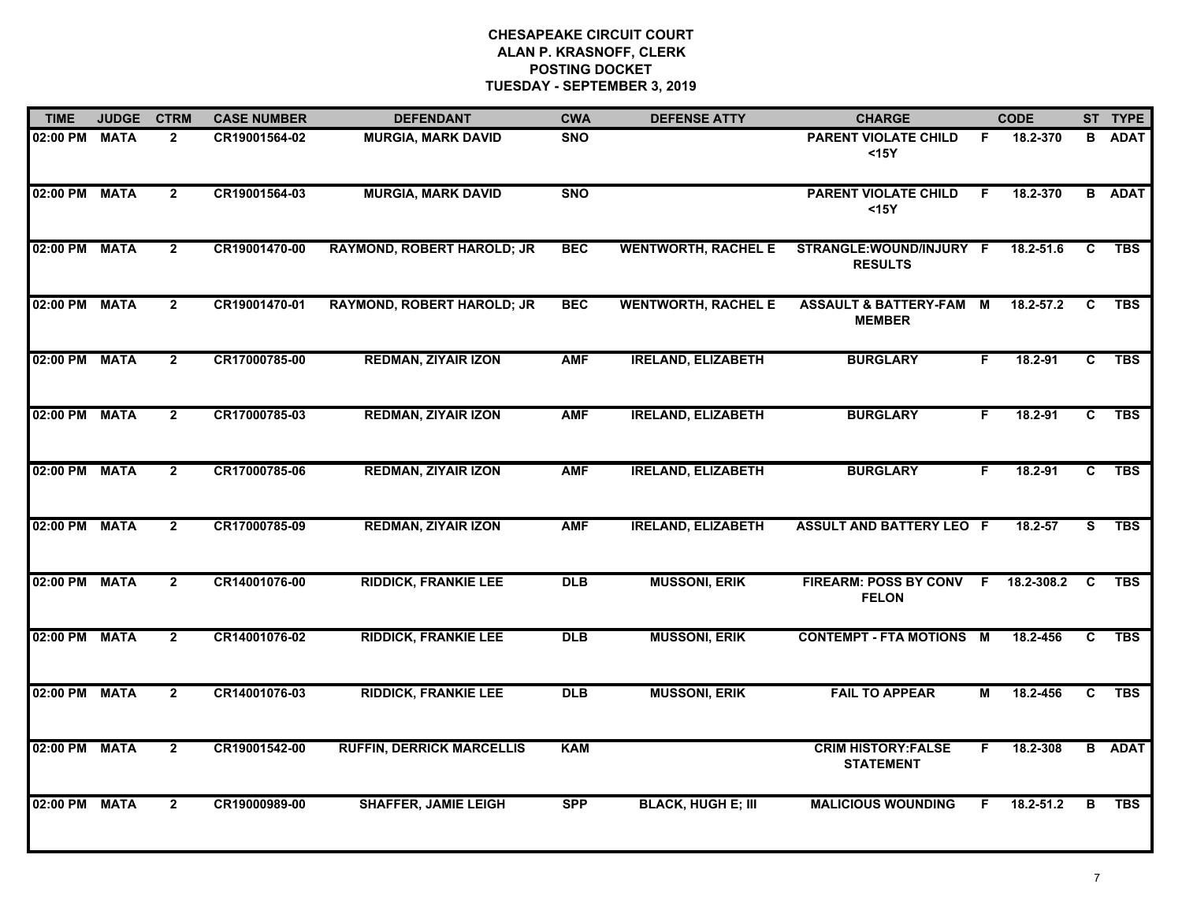| <b>TIME</b>   | <b>JUDGE</b> | <b>CTRM</b>    | <b>CASE NUMBER</b> | <b>DEFENDANT</b>                  | <b>CWA</b> | <b>DEFENSE ATTY</b>        | <b>CHARGE</b>                                       |    | <b>CODE</b> |              | ST TYPE       |
|---------------|--------------|----------------|--------------------|-----------------------------------|------------|----------------------------|-----------------------------------------------------|----|-------------|--------------|---------------|
| 02:00 PM      | <b>MATA</b>  | $\mathbf{2}$   | CR19001564-02      | <b>MURGIA, MARK DAVID</b>         | <b>SNO</b> |                            | <b>PARENT VIOLATE CHILD</b><br>$15Y$                | F  | 18.2-370    | в            | <b>ADAT</b>   |
| 02:00 PM      | <b>MATA</b>  | $2^{\circ}$    | CR19001564-03      | <b>MURGIA, MARK DAVID</b>         | <b>SNO</b> |                            | <b>PARENT VIOLATE CHILD</b><br>$15Y$                | F. | 18.2-370    |              | <b>B</b> ADAT |
| 02:00 PM MATA |              | $\mathbf{2}$   | CR19001470-00      | <b>RAYMOND, ROBERT HAROLD; JR</b> | <b>BEC</b> | <b>WENTWORTH, RACHEL E</b> | STRANGLE:WOUND/INJURY F<br><b>RESULTS</b>           |    | 18.2-51.6   | C            | <b>TBS</b>    |
| 02:00 PM      | <b>MATA</b>  | $\overline{2}$ | CR19001470-01      | <b>RAYMOND, ROBERT HAROLD; JR</b> | <b>BEC</b> | <b>WENTWORTH, RACHEL E</b> | <b>ASSAULT &amp; BATTERY-FAM M</b><br><b>MEMBER</b> |    | 18.2-57.2   | C            | <b>TBS</b>    |
| 02:00 PM      | <b>MATA</b>  | $\overline{2}$ | CR17000785-00      | <b>REDMAN, ZIYAIR IZON</b>        | <b>AMF</b> | <b>IRELAND, ELIZABETH</b>  | <b>BURGLARY</b>                                     | F. | 18.2-91     | C            | <b>TBS</b>    |
| 02:00 PM      | <b>MATA</b>  | $\overline{2}$ | CR17000785-03      | <b>REDMAN, ZIYAIR IZON</b>        | <b>AMF</b> | <b>IRELAND, ELIZABETH</b>  | <b>BURGLARY</b>                                     | F. | 18.2-91     | C.           | <b>TBS</b>    |
| 02:00 PM      | <b>MATA</b>  | $\overline{2}$ | CR17000785-06      | <b>REDMAN, ZIYAIR IZON</b>        | <b>AMF</b> | <b>IRELAND, ELIZABETH</b>  | <b>BURGLARY</b>                                     | F. | $18.2 - 91$ | $\mathbf{C}$ | <b>TBS</b>    |
| 02:00 PM      | <b>MATA</b>  | $\mathbf{2}$   | CR17000785-09      | <b>REDMAN, ZIYAIR IZON</b>        | <b>AMF</b> | <b>IRELAND, ELIZABETH</b>  | <b>ASSULT AND BATTERY LEO F</b>                     |    | 18.2-57     | S.           | TBS           |
| 02:00 PM      | <b>MATA</b>  | $\overline{2}$ | CR14001076-00      | <b>RIDDICK, FRANKIE LEE</b>       | <b>DLB</b> | <b>MUSSONI, ERIK</b>       | FIREARM: POSS BY CONV F<br><b>FELON</b>             |    | 18.2-308.2  | C.           | <b>TBS</b>    |
| 02:00 PM      | <b>MATA</b>  | $\overline{2}$ | CR14001076-02      | <b>RIDDICK, FRANKIE LEE</b>       | <b>DLB</b> | <b>MUSSONI, ERIK</b>       | <b>CONTEMPT - FTA MOTIONS</b>                       | M  | 18.2-456    | C            | <b>TBS</b>    |
| 02:00 PM      | <b>MATA</b>  | $\overline{2}$ | CR14001076-03      | <b>RIDDICK, FRANKIE LEE</b>       | DLB        | <b>MUSSONI, ERIK</b>       | <b>FAIL TO APPEAR</b>                               | М  | 18.2-456    | C.           | <b>TBS</b>    |
| 02:00 PM      | <b>MATA</b>  | $\overline{2}$ | CR19001542-00      | <b>RUFFIN, DERRICK MARCELLIS</b>  | <b>KAM</b> |                            | <b>CRIM HISTORY:FALSE</b><br><b>STATEMENT</b>       | F. | 18.2-308    |              | <b>B</b> ADAT |
| 02:00 PM      | <b>MATA</b>  | $\mathbf{2}$   | CR19000989-00      | <b>SHAFFER, JAMIE LEIGH</b>       | <b>SPP</b> | <b>BLACK, HUGH E; III</b>  | <b>MALICIOUS WOUNDING</b>                           | F. | 18.2-51.2   | В            | <b>TBS</b>    |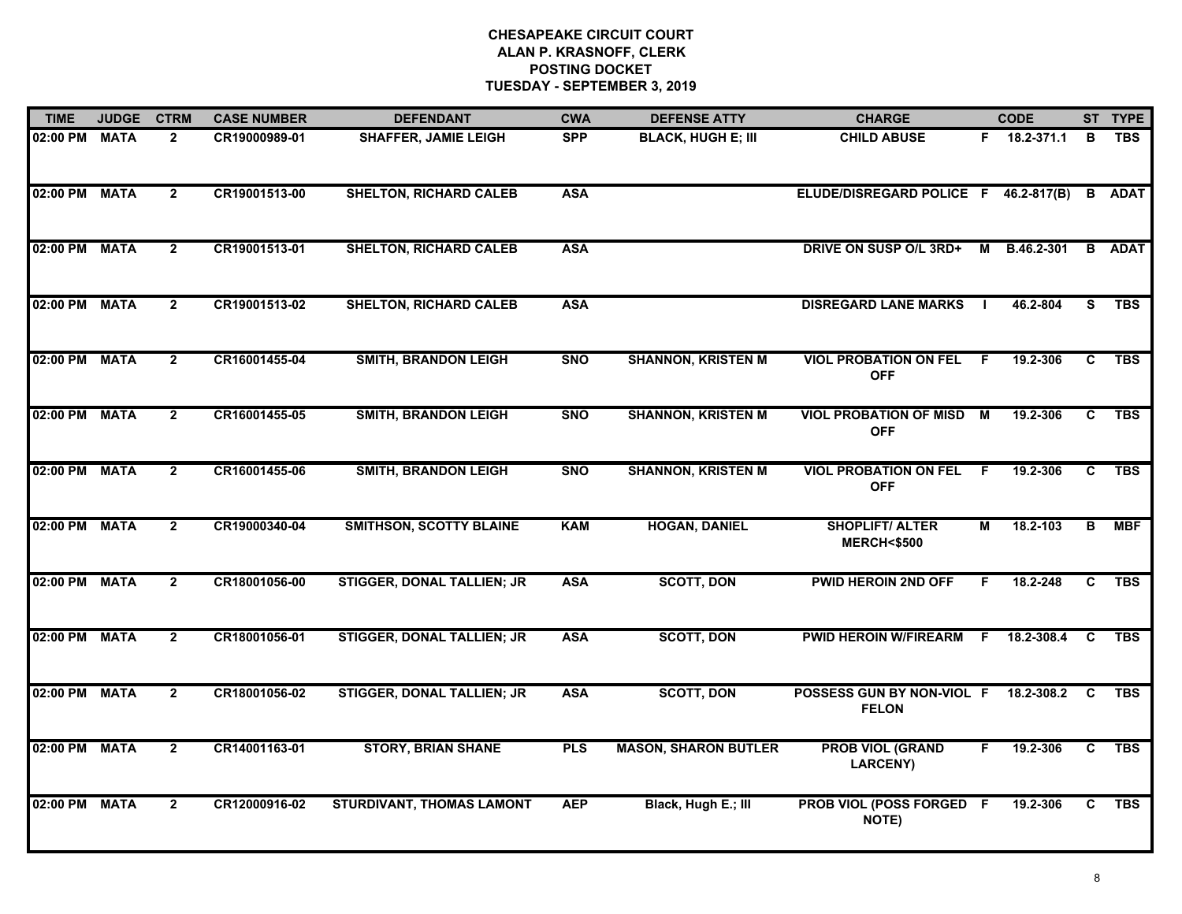| <b>TIME</b>   | <b>JUDGE</b> | <b>CTRM</b>    | <b>CASE NUMBER</b> | <b>DEFENDANT</b>                  | <b>CWA</b> | <b>DEFENSE ATTY</b>         | <b>CHARGE</b>                                   |     | <b>CODE</b>  |    | ST TYPE       |
|---------------|--------------|----------------|--------------------|-----------------------------------|------------|-----------------------------|-------------------------------------------------|-----|--------------|----|---------------|
| 02:00 PM MATA |              | $\overline{2}$ | CR19000989-01      | <b>SHAFFER, JAMIE LEIGH</b>       | <b>SPP</b> | <b>BLACK, HUGH E; III</b>   | <b>CHILD ABUSE</b>                              |     | F 18.2-371.1 | В  | <b>TBS</b>    |
| 02:00 PM      | <b>MATA</b>  | $\overline{2}$ | CR19001513-00      | <b>SHELTON, RICHARD CALEB</b>     | <b>ASA</b> |                             | ELUDE/DISREGARD POLICE F 46.2-817(B)            |     |              |    | <b>B</b> ADAT |
| 02:00 PM      | <b>MATA</b>  | $\overline{2}$ | CR19001513-01      | <b>SHELTON, RICHARD CALEB</b>     | <b>ASA</b> |                             | <b>DRIVE ON SUSP O/L 3RD+</b>                   | M   | B.46.2-301   |    | <b>B</b> ADAT |
| 02:00 PM      | <b>MATA</b>  | $\overline{2}$ | CR19001513-02      | <b>SHELTON, RICHARD CALEB</b>     | <b>ASA</b> |                             | <b>DISREGARD LANE MARKS</b>                     |     | 46.2-804     | S. | <b>TBS</b>    |
| 02:00 PM      | <b>MATA</b>  | $\overline{2}$ | CR16001455-04      | <b>SMITH, BRANDON LEIGH</b>       | <b>SNO</b> | <b>SHANNON, KRISTEN M</b>   | <b>VIOL PROBATION ON FEL</b><br><b>OFF</b>      | F.  | 19.2-306     | C. | <b>TBS</b>    |
| 02:00 PM MATA |              | $\overline{2}$ | CR16001455-05      | <b>SMITH, BRANDON LEIGH</b>       | <b>SNO</b> | <b>SHANNON, KRISTEN M</b>   | <b>VIOL PROBATION OF MISD M</b><br><b>OFF</b>   |     | 19.2-306     | C. | <b>TBS</b>    |
| 02:00 PM      | <b>MATA</b>  | $\overline{2}$ | CR16001455-06      | <b>SMITH, BRANDON LEIGH</b>       | <b>SNO</b> | <b>SHANNON, KRISTEN M</b>   | <b>VIOL PROBATION ON FEL</b><br><b>OFF</b>      | - F | 19.2-306     | C  | <b>TBS</b>    |
| 02:00 PM      | <b>MATA</b>  | $\overline{2}$ | CR19000340-04      | <b>SMITHSON, SCOTTY BLAINE</b>    | <b>KAM</b> | <b>HOGAN, DANIEL</b>        | <b>SHOPLIFT/ ALTER</b><br><b>MERCH&lt;\$500</b> | М   | 18.2-103     | B  | <b>MBF</b>    |
| 02:00 PM MATA |              | $\overline{2}$ | CR18001056-00      | <b>STIGGER, DONAL TALLIEN; JR</b> | <b>ASA</b> | <b>SCOTT, DON</b>           | <b>PWID HEROIN 2ND OFF</b>                      | F.  | 18.2-248     | C. | <b>TBS</b>    |
| 02:00 PM      | <b>MATA</b>  | $\overline{2}$ | CR18001056-01      | <b>STIGGER, DONAL TALLIEN; JR</b> | <b>ASA</b> | <b>SCOTT, DON</b>           | <b>PWID HEROIN W/FIREARM</b>                    | - F | 18.2-308.4   | C  | <b>TBS</b>    |
| 02:00 PM MATA |              | $\overline{2}$ | CR18001056-02      | <b>STIGGER, DONAL TALLIEN; JR</b> | <b>ASA</b> | <b>SCOTT, DON</b>           | POSSESS GUN BY NON-VIOL F<br><b>FELON</b>       |     | 18.2-308.2 C |    | <b>TBS</b>    |
| 02:00 PM      | <b>MATA</b>  | $\overline{2}$ | CR14001163-01      | <b>STORY, BRIAN SHANE</b>         | <b>PLS</b> | <b>MASON, SHARON BUTLER</b> | <b>PROB VIOL (GRAND</b><br><b>LARCENY)</b>      | F.  | 19.2-306     | C  | <b>TBS</b>    |
| 02:00 PM MATA |              | $\mathbf{2}$   | CR12000916-02      | STURDIVANT, THOMAS LAMONT         | <b>AEP</b> | Black, Hugh E.; III         | PROB VIOL (POSS FORGED F<br>NOTE)               |     | 19.2-306     | C. | <b>TBS</b>    |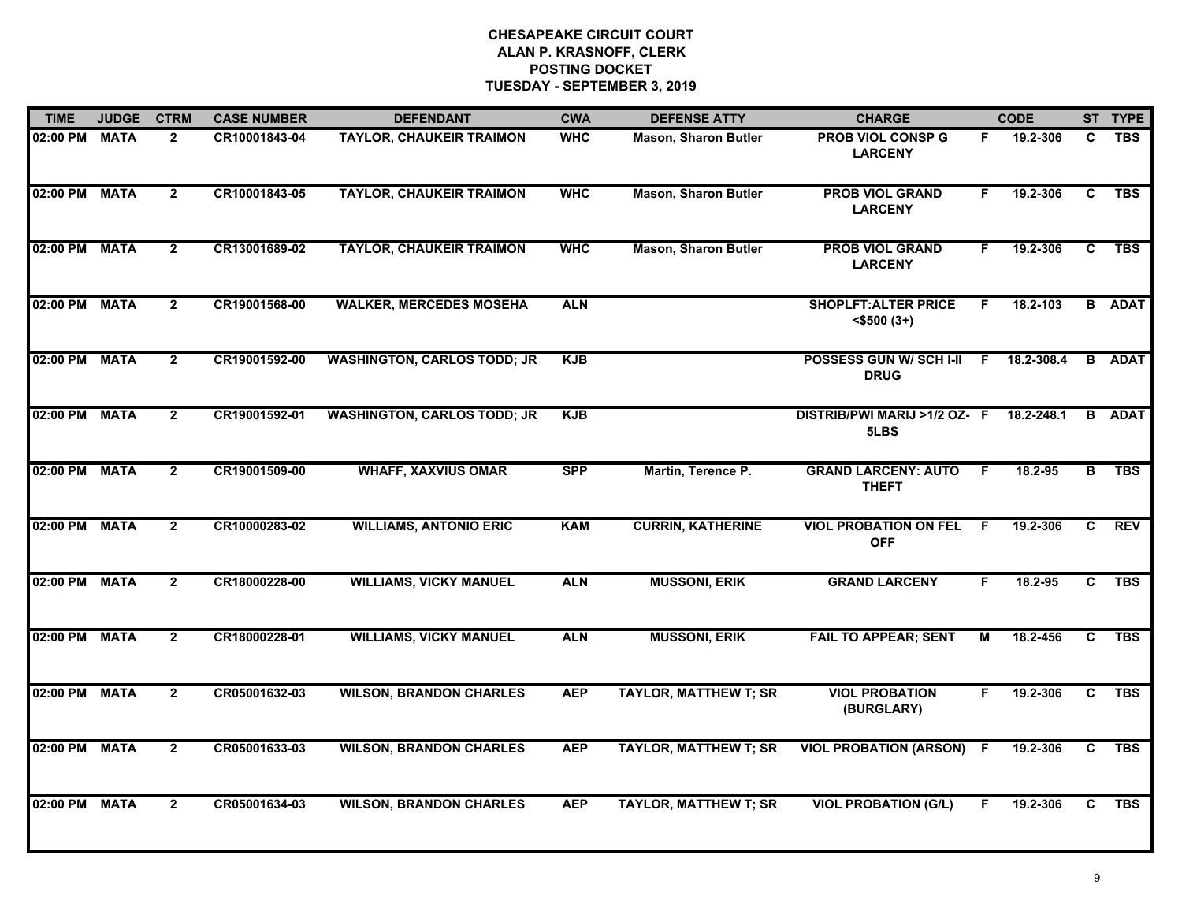| <b>TIME</b>   | <b>JUDGE</b> | <b>CTRM</b>    | <b>CASE NUMBER</b> | <b>DEFENDANT</b>                   | <b>CWA</b> | <b>DEFENSE ATTY</b>          | <b>CHARGE</b>                                   |    | <b>CODE</b> |    | ST TYPE       |
|---------------|--------------|----------------|--------------------|------------------------------------|------------|------------------------------|-------------------------------------------------|----|-------------|----|---------------|
| 02:00 PM MATA |              | $\mathbf{2}$   | CR10001843-04      | <b>TAYLOR, CHAUKEIR TRAIMON</b>    | <b>WHC</b> | <b>Mason, Sharon Butler</b>  | <b>PROB VIOL CONSP G</b><br><b>LARCENY</b>      | F. | 19.2-306    | C. | <b>TBS</b>    |
| 02:00 PM MATA |              | $\overline{2}$ | CR10001843-05      | <b>TAYLOR, CHAUKEIR TRAIMON</b>    | <b>WHC</b> | <b>Mason, Sharon Butler</b>  | <b>PROB VIOL GRAND</b><br><b>LARCENY</b>        | F. | 19.2-306    | C  | <b>TBS</b>    |
| 02:00 PM MATA |              | $\mathbf{2}$   | CR13001689-02      | <b>TAYLOR, CHAUKEIR TRAIMON</b>    | <b>WHC</b> | <b>Mason, Sharon Butler</b>  | <b>PROB VIOL GRAND</b><br><b>LARCENY</b>        | F. | 19.2-306    | C  | <b>TBS</b>    |
| 02:00 PM MATA |              | $\mathbf{2}$   | CR19001568-00      | <b>WALKER, MERCEDES MOSEHA</b>     | <b>ALN</b> |                              | <b>SHOPLFT: ALTER PRICE</b><br>$<$ \$500 $(3+)$ | F. | 18.2-103    |    | <b>B</b> ADAT |
| 02:00 PM MATA |              | $\overline{2}$ | CR19001592-00      | <b>WASHINGTON, CARLOS TODD; JR</b> | <b>KJB</b> |                              | <b>POSSESS GUN W/ SCH I-II</b><br><b>DRUG</b>   | F. | 18.2-308.4  |    | <b>B</b> ADAT |
| 02:00 PM MATA |              | $\overline{2}$ | CR19001592-01      | <b>WASHINGTON, CARLOS TODD; JR</b> | <b>KJB</b> |                              | DISTRIB/PWI MARIJ >1/2 OZ- F<br>5LBS            |    | 18.2-248.1  | B  | <b>ADAT</b>   |
| 02:00 PM MATA |              | $\overline{2}$ | CR19001509-00      | <b>WHAFF, XAXVIUS OMAR</b>         | <b>SPP</b> | Martin, Terence P.           | <b>GRAND LARCENY: AUTO</b><br><b>THEFT</b>      | F. | 18.2-95     | в  | <b>TBS</b>    |
| 02:00 PM MATA |              | $\overline{2}$ | CR10000283-02      | <b>WILLIAMS, ANTONIO ERIC</b>      | <b>KAM</b> | <b>CURRIN, KATHERINE</b>     | <b>VIOL PROBATION ON FEL</b><br><b>OFF</b>      | F. | 19.2-306    | C  | <b>REV</b>    |
| 02:00 PM MATA |              | $\mathbf{2}$   | CR18000228-00      | <b>WILLIAMS, VICKY MANUEL</b>      | <b>ALN</b> | <b>MUSSONI, ERIK</b>         | <b>GRAND LARCENY</b>                            | F. | 18.2-95     | C  | <b>TBS</b>    |
| 02:00 PM MATA |              | $\overline{2}$ | CR18000228-01      | <b>WILLIAMS, VICKY MANUEL</b>      | <b>ALN</b> | <b>MUSSONI, ERIK</b>         | <b>FAIL TO APPEAR; SENT</b>                     | м  | 18.2-456    | C. | <b>TBS</b>    |
| 02:00 PM MATA |              | $\mathbf{2}$   | CR05001632-03      | <b>WILSON, BRANDON CHARLES</b>     | <b>AEP</b> | <b>TAYLOR, MATTHEW T; SR</b> | <b>VIOL PROBATION</b><br>(BURGLARY)             | F. | 19.2-306    | C. | <b>TBS</b>    |
| 02:00 PM MATA |              | $\overline{2}$ | CR05001633-03      | <b>WILSON, BRANDON CHARLES</b>     | <b>AEP</b> | <b>TAYLOR, MATTHEW T; SR</b> | <b>VIOL PROBATION (ARSON) F</b>                 |    | 19.2-306    | C  | <b>TBS</b>    |
| 02:00 PM MATA |              | $\overline{2}$ | CR05001634-03      | <b>WILSON, BRANDON CHARLES</b>     | <b>AEP</b> | <b>TAYLOR, MATTHEW T; SR</b> | <b>VIOL PROBATION (G/L)</b>                     | F. | 19.2-306    | C. | <b>TBS</b>    |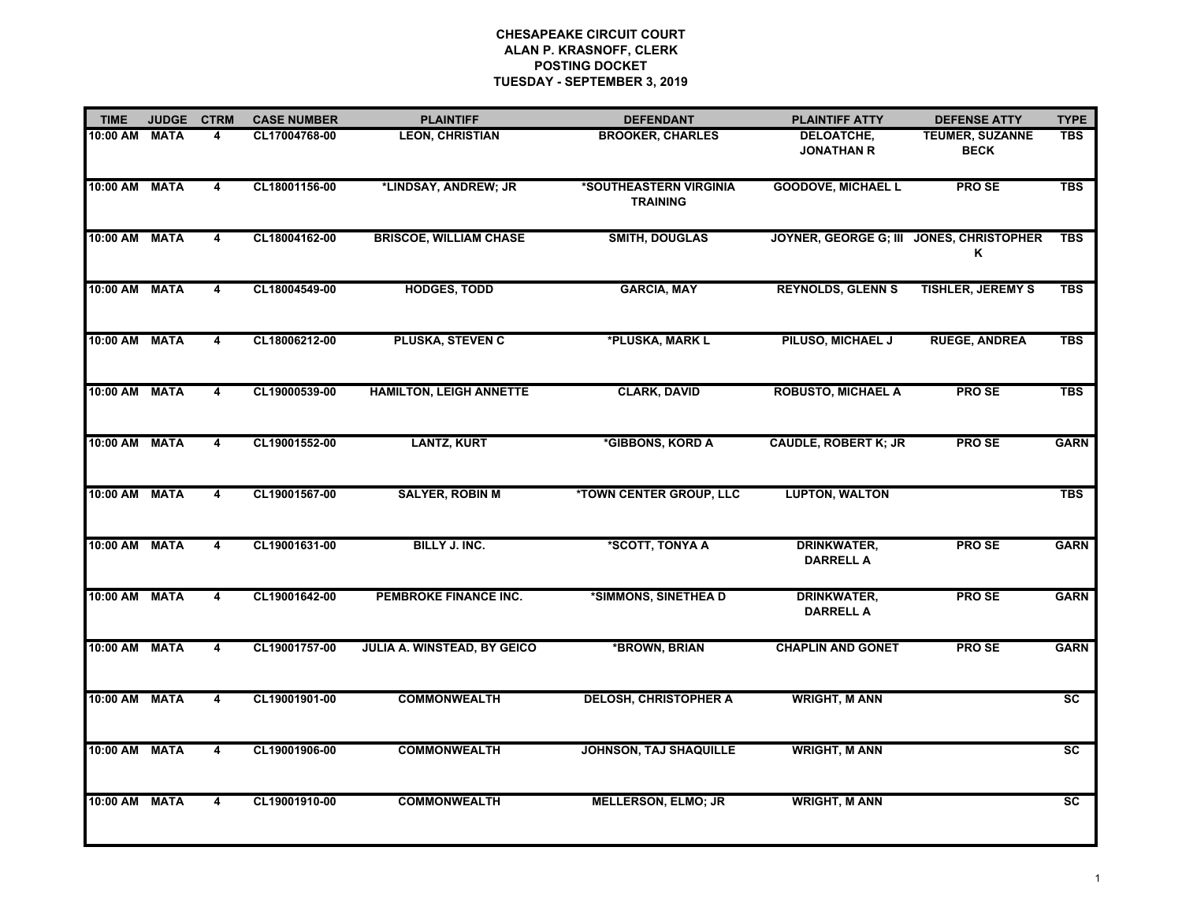| <b>TIME</b>   | <b>JUDGE</b> | <b>CTRM</b>             | <b>CASE NUMBER</b> | <b>PLAINTIFF</b>               | <b>DEFENDANT</b>                          | <b>PLAINTIFF ATTY</b>                  | <b>DEFENSE ATTY</b>                           | <b>TYPE</b>            |
|---------------|--------------|-------------------------|--------------------|--------------------------------|-------------------------------------------|----------------------------------------|-----------------------------------------------|------------------------|
| 10:00 AM      | <b>MATA</b>  | 4                       | CL17004768-00      | <b>LEON, CHRISTIAN</b>         | <b>BROOKER, CHARLES</b>                   | DELOATCHE,<br><b>JONATHAN R</b>        | <b>TEUMER, SUZANNE</b><br><b>BECK</b>         | <b>TBS</b>             |
| 10:00 AM      | <b>MATA</b>  | 4                       | CL18001156-00      | *LINDSAY, ANDREW; JR           | *SOUTHEASTERN VIRGINIA<br><b>TRAINING</b> | <b>GOODOVE, MICHAEL L</b>              | <b>PROSE</b>                                  | <b>TBS</b>             |
| 10:00 AM      | <b>MATA</b>  | 4                       | CL18004162-00      | <b>BRISCOE, WILLIAM CHASE</b>  | <b>SMITH, DOUGLAS</b>                     |                                        | JOYNER, GEORGE G; III JONES, CHRISTOPHER<br>Κ | <b>TBS</b>             |
| 10:00 AM      | <b>MATA</b>  | $\overline{\mathbf{4}}$ | CL18004549-00      | <b>HODGES, TODD</b>            | <b>GARCIA, MAY</b>                        | <b>REYNOLDS, GLENN S</b>               | <b>TISHLER, JEREMY S</b>                      | <b>TBS</b>             |
| 10:00 AM      | <b>MATA</b>  | 4                       | CL18006212-00      | PLUSKA, STEVEN C               | *PLUSKA, MARK L                           | PILUSO, MICHAEL J                      | <b>RUEGE, ANDREA</b>                          | <b>TBS</b>             |
| 10:00 AM      | <b>MATA</b>  | 4                       | CL19000539-00      | <b>HAMILTON, LEIGH ANNETTE</b> | <b>CLARK, DAVID</b>                       | <b>ROBUSTO, MICHAEL A</b>              | <b>PROSE</b>                                  | <b>TBS</b>             |
| 10:00 AM      | <b>MATA</b>  | 4                       | CL19001552-00      | <b>LANTZ, KURT</b>             | *GIBBONS, KORD A                          | <b>CAUDLE, ROBERT K; JR</b>            | <b>PROSE</b>                                  | <b>GARN</b>            |
| 10:00 AM      | <b>MATA</b>  | 4                       | CL19001567-00      | <b>SALYER, ROBIN M</b>         | *TOWN CENTER GROUP, LLC                   | <b>LUPTON, WALTON</b>                  |                                               | <b>TBS</b>             |
| 10:00 AM      | <b>MATA</b>  | 4                       | CL19001631-00      | BILLY J. INC.                  | *SCOTT, TONYA A                           | <b>DRINKWATER,</b><br><b>DARRELL A</b> | <b>PROSE</b>                                  | <b>GARN</b>            |
| 10:00 AM      | <b>MATA</b>  | 4                       | CL19001642-00      | PEMBROKE FINANCE INC.          | *SIMMONS, SINETHEA D                      | DRINKWATER,<br><b>DARRELL A</b>        | <b>PROSE</b>                                  | <b>GARN</b>            |
| 10:00 AM MATA |              | 4                       | CL19001757-00      | JULIA A. WINSTEAD, BY GEICO    | *BROWN, BRIAN                             | <b>CHAPLIN AND GONET</b>               | <b>PROSE</b>                                  | <b>GARN</b>            |
| 10:00 AM      | <b>MATA</b>  | $\overline{4}$          | CL19001901-00      | <b>COMMONWEALTH</b>            | <b>DELOSH, CHRISTOPHER A</b>              | <b>WRIGHT, M ANN</b>                   |                                               | $\overline{\text{sc}}$ |
| 10:00 AM      | <b>MATA</b>  | 4                       | CL19001906-00      | <b>COMMONWEALTH</b>            | <b>JOHNSON, TAJ SHAQUILLE</b>             | <b>WRIGHT, M ANN</b>                   |                                               | $\overline{\text{sc}}$ |
| 10:00 AM      | <b>MATA</b>  | 4                       | CL19001910-00      | <b>COMMONWEALTH</b>            | <b>MELLERSON, ELMO; JR</b>                | <b>WRIGHT, M ANN</b>                   |                                               | $\overline{sc}$        |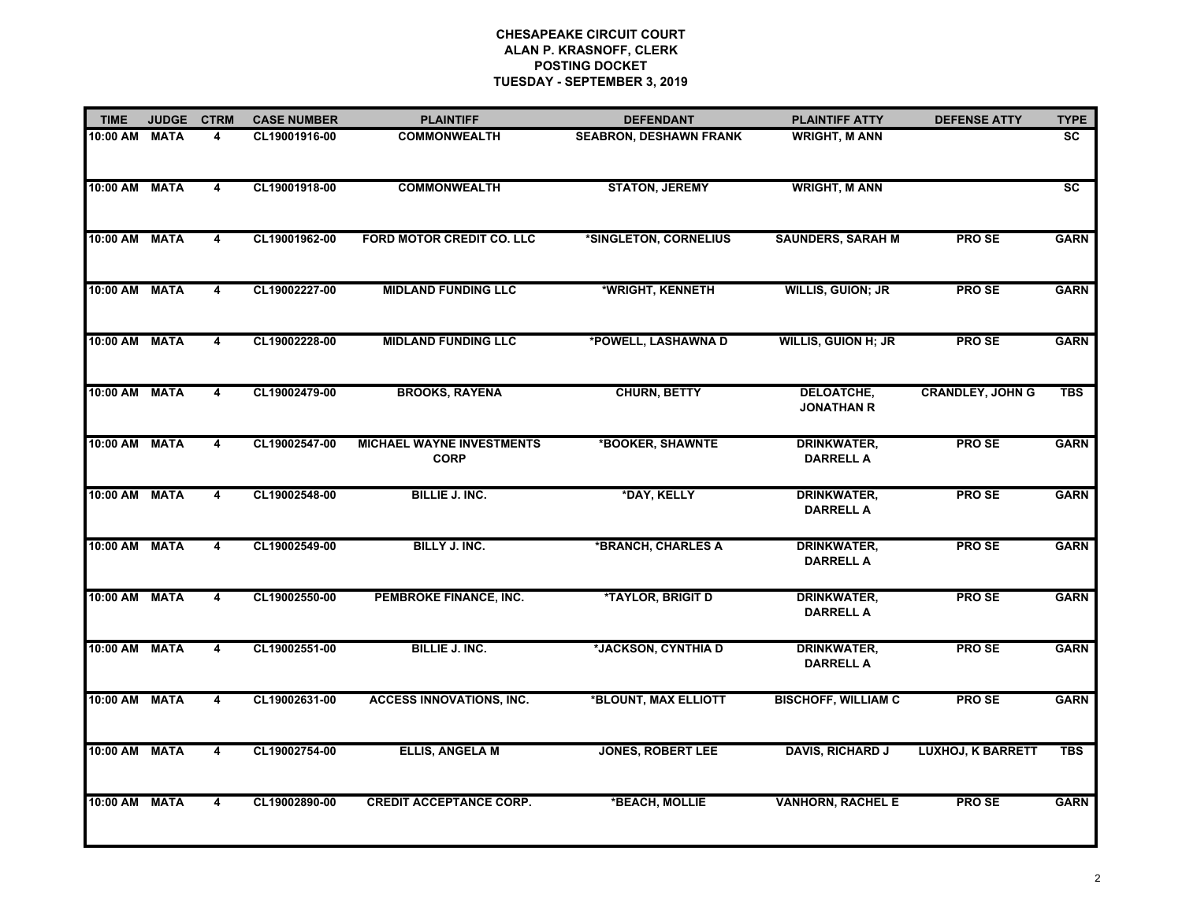| <b>TIME</b>   | <b>JUDGE</b> | <b>CTRM</b>             | <b>CASE NUMBER</b> | <b>PLAINTIFF</b>                                | <b>DEFENDANT</b>              | <b>PLAINTIFF ATTY</b>                  | <b>DEFENSE ATTY</b>      | <b>TYPE</b>            |
|---------------|--------------|-------------------------|--------------------|-------------------------------------------------|-------------------------------|----------------------------------------|--------------------------|------------------------|
| 10:00 AM      | <b>MATA</b>  | 4                       | CL19001916-00      | <b>COMMONWEALTH</b>                             | <b>SEABRON, DESHAWN FRANK</b> | <b>WRIGHT, M ANN</b>                   |                          | <b>SC</b>              |
| 10:00 AM      | <b>MATA</b>  | 4                       | CL19001918-00      | <b>COMMONWEALTH</b>                             | <b>STATON, JEREMY</b>         | <b>WRIGHT, M ANN</b>                   |                          | $\overline{\text{sc}}$ |
| $10:00$ AM    | <b>MATA</b>  | 4                       | CL19001962-00      | FORD MOTOR CREDIT CO. LLC                       | *SINGLETON, CORNELIUS         | <b>SAUNDERS, SARAH M</b>               | PRO SE                   | <b>GARN</b>            |
| 10:00 AM      | <b>MATA</b>  | $\overline{\mathbf{4}}$ | CL19002227-00      | <b>MIDLAND FUNDING LLC</b>                      | *WRIGHT, KENNETH              | <b>WILLIS, GUION; JR</b>               | <b>PROSE</b>             | <b>GARN</b>            |
| 10:00 AM      | <b>MATA</b>  | 4                       | CL19002228-00      | <b>MIDLAND FUNDING LLC</b>                      | *POWELL, LASHAWNA D           | <b>WILLIS, GUION H; JR</b>             | <b>PROSE</b>             | <b>GARN</b>            |
| 10:00 AM      | <b>MATA</b>  | 4                       | CL19002479-00      | <b>BROOKS, RAYENA</b>                           | <b>CHURN, BETTY</b>           | <b>DELOATCHE,</b><br><b>JONATHAN R</b> | <b>CRANDLEY, JOHN G</b>  | <b>TBS</b>             |
| 10:00 AM      | <b>MATA</b>  | 4                       | CL19002547-00      | <b>MICHAEL WAYNE INVESTMENTS</b><br><b>CORP</b> | *BOOKER, SHAWNTE              | <b>DRINKWATER,</b><br><b>DARRELL A</b> | <b>PROSE</b>             | <b>GARN</b>            |
| 10:00 AM      | <b>MATA</b>  | 4                       | CL19002548-00      | <b>BILLIE J. INC.</b>                           | *DAY, KELLY                   | <b>DRINKWATER,</b><br><b>DARRELL A</b> | <b>PROSE</b>             | <b>GARN</b>            |
| 10:00 AM      | <b>MATA</b>  | 4                       | CL19002549-00      | BILLY J. INC.                                   | *BRANCH, CHARLES A            | <b>DRINKWATER,</b><br><b>DARRELL A</b> | <b>PROSE</b>             | <b>GARN</b>            |
| 10:00 AM      | <b>MATA</b>  | 4                       | CL19002550-00      | PEMBROKE FINANCE, INC.                          | *TAYLOR, BRIGIT D             | <b>DRINKWATER,</b><br><b>DARRELL A</b> | <b>PROSE</b>             | <b>GARN</b>            |
| 10:00 AM MATA |              | 4                       | CL19002551-00      | <b>BILLIE J. INC.</b>                           | *JACKSON, CYNTHIA D           | <b>DRINKWATER,</b><br><b>DARRELL A</b> | <b>PROSE</b>             | <b>GARN</b>            |
| 10:00 AM      | <b>MATA</b>  | $\overline{4}$          | CL19002631-00      | <b>ACCESS INNOVATIONS, INC.</b>                 | *BLOUNT, MAX ELLIOTT          | <b>BISCHOFF, WILLIAM C</b>             | <b>PROSE</b>             | <b>GARN</b>            |
| 10:00 AM      | <b>MATA</b>  | 4                       | CL19002754-00      | <b>ELLIS, ANGELA M</b>                          | <b>JONES, ROBERT LEE</b>      | <b>DAVIS, RICHARD J</b>                | <b>LUXHOJ, K BARRETT</b> | <b>TBS</b>             |
| 10:00 AM      | <b>MATA</b>  | 4                       | CL19002890-00      | <b>CREDIT ACCEPTANCE CORP.</b>                  | *BEACH, MOLLIE                | <b>VANHORN, RACHEL E</b>               | <b>PROSE</b>             | <b>GARN</b>            |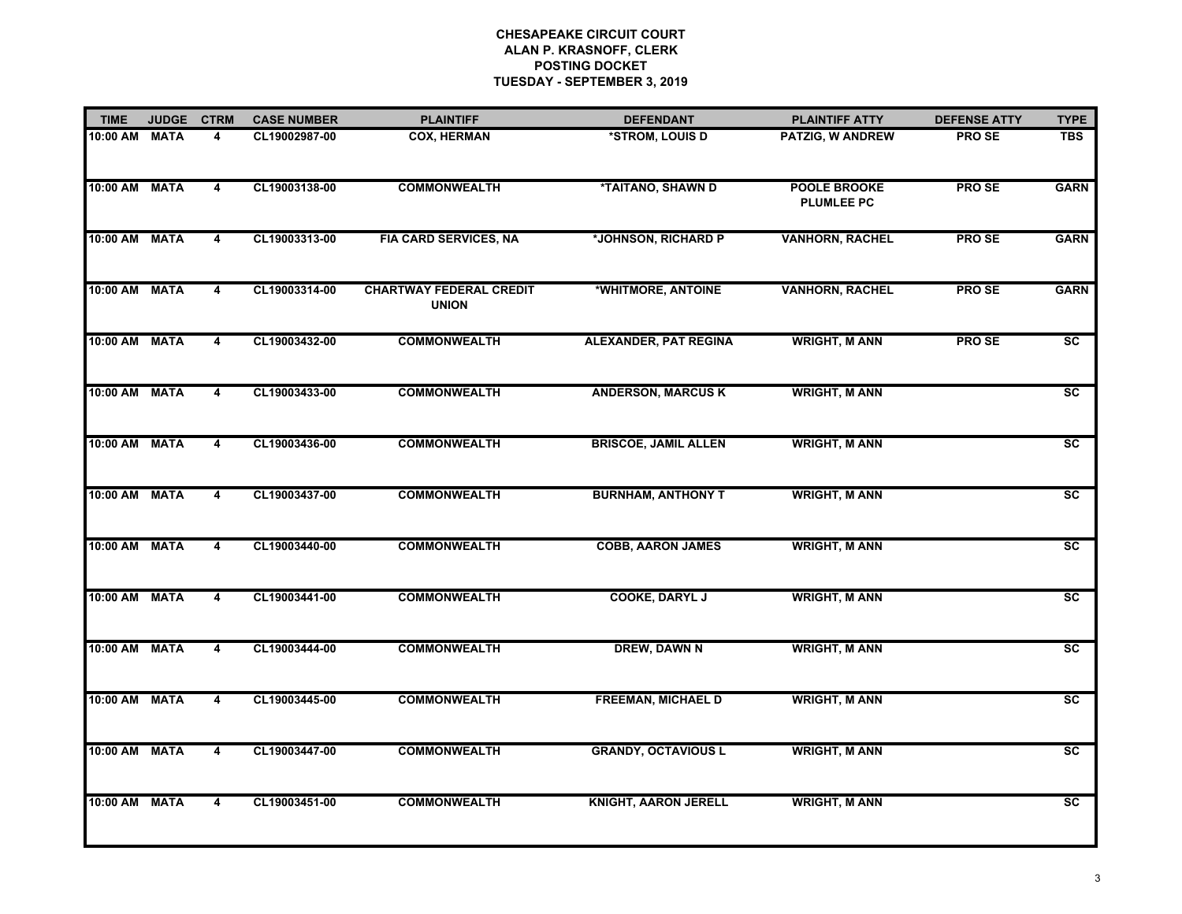| <b>TIME</b>   | <b>JUDGE</b> | <b>CTRM</b>             | <b>CASE NUMBER</b> | <b>PLAINTIFF</b>                               | <b>DEFENDANT</b>             | <b>PLAINTIFF ATTY</b>                    | <b>DEFENSE ATTY</b> | <b>TYPE</b>            |
|---------------|--------------|-------------------------|--------------------|------------------------------------------------|------------------------------|------------------------------------------|---------------------|------------------------|
| 10:00 AM MATA |              | 4                       | CL19002987-00      | <b>COX, HERMAN</b>                             | *STROM, LOUIS D              | PATZIG, W ANDREW                         | <b>PROSE</b>        | <b>TBS</b>             |
| 10:00 AM MATA |              | 4                       | CL19003138-00      | <b>COMMONWEALTH</b>                            | *TAITANO, SHAWN D            | <b>POOLE BROOKE</b><br><b>PLUMLEE PC</b> | <b>PROSE</b>        | <b>GARN</b>            |
| 10:00 AM MATA |              | 4                       | CL19003313-00      | <b>FIA CARD SERVICES, NA</b>                   | *JOHNSON, RICHARD P          | <b>VANHORN, RACHEL</b>                   | <b>PROSE</b>        | <b>GARN</b>            |
| 10:00 AM MATA |              | 4                       | CL19003314-00      | <b>CHARTWAY FEDERAL CREDIT</b><br><b>UNION</b> | *WHITMORE, ANTOINE           | <b>VANHORN, RACHEL</b>                   | <b>PROSE</b>        | <b>GARN</b>            |
| 10:00 AM      | <b>MATA</b>  | 4                       | CL19003432-00      | <b>COMMONWEALTH</b>                            | <b>ALEXANDER, PAT REGINA</b> | <b>WRIGHT, M ANN</b>                     | <b>PROSE</b>        | SC                     |
| 10:00 AM MATA |              | 4                       | CL19003433-00      | <b>COMMONWEALTH</b>                            | <b>ANDERSON, MARCUS K</b>    | <b>WRIGHT, M ANN</b>                     |                     | <b>SC</b>              |
| 10:00 AM MATA |              | 4                       | CL19003436-00      | <b>COMMONWEALTH</b>                            | <b>BRISCOE, JAMIL ALLEN</b>  | <b>WRIGHT, M ANN</b>                     |                     | $\overline{sc}$        |
| 10:00 AM      | <b>MATA</b>  | 4                       | CL19003437-00      | <b>COMMONWEALTH</b>                            | <b>BURNHAM, ANTHONY T</b>    | <b>WRIGHT, M ANN</b>                     |                     | $\overline{sc}$        |
| 10:00 AM MATA |              | $\overline{\mathbf{4}}$ | CL19003440-00      | <b>COMMONWEALTH</b>                            | <b>COBB, AARON JAMES</b>     | <b>WRIGHT, M ANN</b>                     |                     | $\overline{\text{sc}}$ |
| 10:00 AM      | <b>MATA</b>  | 4                       | CL19003441-00      | <b>COMMONWEALTH</b>                            | <b>COOKE, DARYL J</b>        | <b>WRIGHT, M ANN</b>                     |                     | $\overline{\text{sc}}$ |
| 10:00 AM MATA |              | 4                       | CL19003444-00      | <b>COMMONWEALTH</b>                            | DREW, DAWN N                 | <b>WRIGHT, M ANN</b>                     |                     | $\overline{\text{sc}}$ |
| 10:00 AM MATA |              | $\overline{4}$          | CL19003445-00      | <b>COMMONWEALTH</b>                            | <b>FREEMAN, MICHAEL D</b>    | <b>WRIGHT, M ANN</b>                     |                     | $\overline{\text{sc}}$ |
| 10:00 AM      | <b>MATA</b>  | 4                       | CL19003447-00      | <b>COMMONWEALTH</b>                            | <b>GRANDY, OCTAVIOUS L</b>   | <b>WRIGHT, M ANN</b>                     |                     | $\overline{\text{sc}}$ |
| 10:00 AM MATA |              | $\overline{4}$          | CL19003451-00      | <b>COMMONWEALTH</b>                            | KNIGHT, AARON JERELL         | <b>WRIGHT, M ANN</b>                     |                     | SC                     |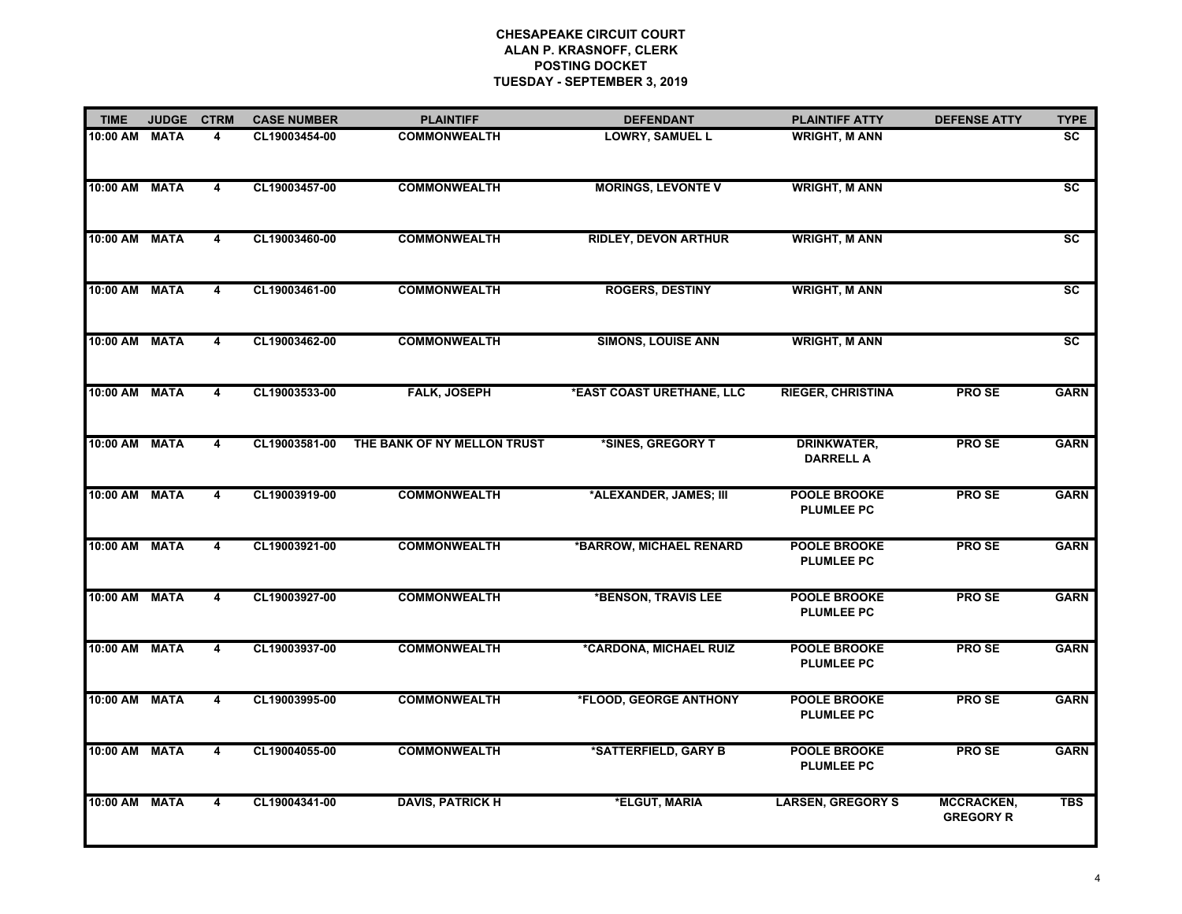| <b>TIME</b>   | <b>JUDGE</b> | <b>CTRM</b>             | <b>CASE NUMBER</b> | <b>PLAINTIFF</b>            | <b>DEFENDANT</b>            | <b>PLAINTIFF ATTY</b>                    | <b>DEFENSE ATTY</b>            | <b>TYPE</b>     |
|---------------|--------------|-------------------------|--------------------|-----------------------------|-----------------------------|------------------------------------------|--------------------------------|-----------------|
| 10:00 AM      | <b>MATA</b>  | 4                       | CL19003454-00      | <b>COMMONWEALTH</b>         | <b>LOWRY, SAMUEL L</b>      | <b>WRIGHT, M ANN</b>                     |                                | <b>SC</b>       |
| 10:00 AM      | <b>MATA</b>  | 4                       | CL19003457-00      | <b>COMMONWEALTH</b>         | <b>MORINGS, LEVONTE V</b>   | <b>WRIGHT, M ANN</b>                     |                                | $\overline{sc}$ |
| 10:00 AM MATA |              | 4                       | CL19003460-00      | <b>COMMONWEALTH</b>         | <b>RIDLEY, DEVON ARTHUR</b> | <b>WRIGHT, M ANN</b>                     |                                | <b>SC</b>       |
| 10:00 AM      | <b>MATA</b>  | $\overline{4}$          | CL19003461-00      | <b>COMMONWEALTH</b>         | <b>ROGERS, DESTINY</b>      | <b>WRIGHT, M ANN</b>                     |                                | $\overline{sc}$ |
| 10:00 AM MATA |              | 4                       | CL19003462-00      | <b>COMMONWEALTH</b>         | <b>SIMONS, LOUISE ANN</b>   | <b>WRIGHT, M ANN</b>                     |                                | <b>SC</b>       |
| 10:00 AM MATA |              | $\overline{4}$          | CL19003533-00      | <b>FALK, JOSEPH</b>         | *EAST COAST URETHANE, LLC   | <b>RIEGER, CHRISTINA</b>                 | <b>PROSE</b>                   | <b>GARN</b>     |
| 10:00 AM MATA |              | 4                       | CL19003581-00      | THE BANK OF NY MELLON TRUST | *SINES, GREGORY T           | <b>DRINKWATER,</b><br><b>DARRELL A</b>   | <b>PROSE</b>                   | <b>GARN</b>     |
| 10:00 AM MATA |              | $\overline{4}$          | CL19003919-00      | <b>COMMONWEALTH</b>         | *ALEXANDER, JAMES; III      | <b>POOLE BROOKE</b><br><b>PLUMLEE PC</b> | <b>PROSE</b>                   | <b>GARN</b>     |
| 10:00 AM MATA |              | $\overline{\mathbf{4}}$ | CL19003921-00      | <b>COMMONWEALTH</b>         | *BARROW, MICHAEL RENARD     | <b>POOLE BROOKE</b><br><b>PLUMLEE PC</b> | <b>PROSE</b>                   | <b>GARN</b>     |
| 10:00 AM MATA |              | $\overline{\mathbf{4}}$ | CL19003927-00      | <b>COMMONWEALTH</b>         | *BENSON, TRAVIS LEE         | POOLE BROOKE<br><b>PLUMLEE PC</b>        | <b>PROSE</b>                   | <b>GARN</b>     |
| 10:00 AM MATA |              | 4                       | CL19003937-00      | <b>COMMONWEALTH</b>         | *CARDONA, MICHAEL RUIZ      | <b>POOLE BROOKE</b><br><b>PLUMLEE PC</b> | <b>PROSE</b>                   | <b>GARN</b>     |
| 10:00 AM MATA |              | $\overline{4}$          | CL19003995-00      | <b>COMMONWEALTH</b>         | *FLOOD, GEORGE ANTHONY      | <b>POOLE BROOKE</b><br><b>PLUMLEE PC</b> | <b>PROSE</b>                   | <b>GARN</b>     |
| 10:00 AM      | <b>MATA</b>  | 4                       | CL19004055-00      | <b>COMMONWEALTH</b>         | *SATTERFIELD, GARY B        | <b>POOLE BROOKE</b><br><b>PLUMLEE PC</b> | <b>PROSE</b>                   | <b>GARN</b>     |
| 10:00 AM MATA |              | $\overline{4}$          | CL19004341-00      | <b>DAVIS, PATRICK H</b>     | *ELGUT, MARIA               | <b>LARSEN, GREGORY S</b>                 | MCCRACKEN,<br><b>GREGORY R</b> | <b>TBS</b>      |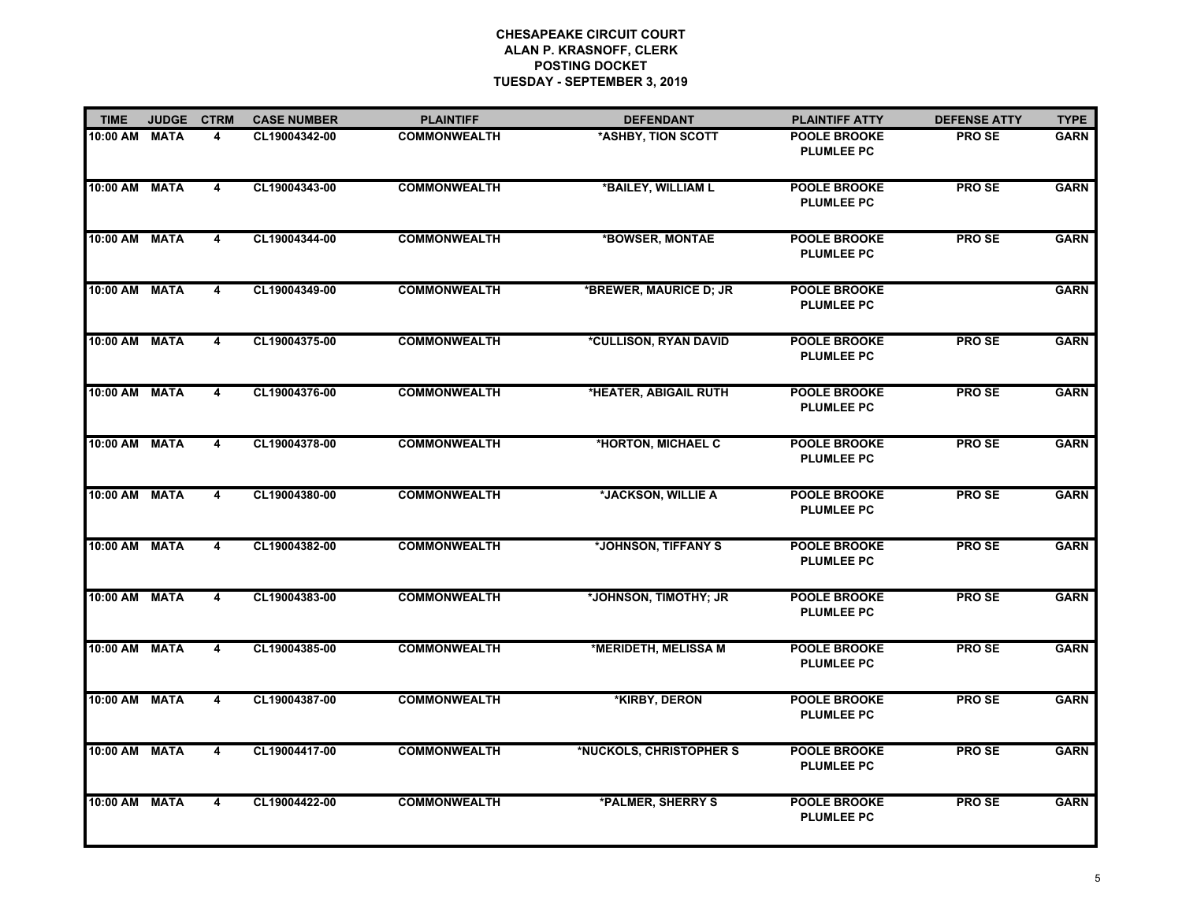| <b>TIME</b>   | <b>JUDGE</b> | <b>CTRM</b>             | <b>CASE NUMBER</b> | <b>PLAINTIFF</b>    | <b>DEFENDANT</b>                    | <b>PLAINTIFF ATTY</b>                    | <b>DEFENSE ATTY</b> | <b>TYPE</b> |
|---------------|--------------|-------------------------|--------------------|---------------------|-------------------------------------|------------------------------------------|---------------------|-------------|
| 10:00 AM MATA |              | 4                       | CL19004342-00      | <b>COMMONWEALTH</b> | *ASHBY, TION SCOTT                  | <b>POOLE BROOKE</b><br><b>PLUMLEE PC</b> | <b>PROSE</b>        | <b>GARN</b> |
| 10:00 AM MATA |              | 4                       | CL19004343-00      | <b>COMMONWEALTH</b> | *BAILEY, WILLIAM L                  | <b>POOLE BROOKE</b><br><b>PLUMLEE PC</b> | <b>PROSE</b>        | <b>GARN</b> |
| 10:00 AM MATA |              | $\overline{4}$          | CL19004344-00      | <b>COMMONWEALTH</b> | *BOWSER, MONTAE                     | <b>POOLE BROOKE</b><br><b>PLUMLEE PC</b> | <b>PROSE</b>        | <b>GARN</b> |
| 10:00 AM MATA |              | $\overline{4}$          | CL19004349-00      | <b>COMMONWEALTH</b> | *BREWER, MAURICE D; JR              | <b>POOLE BROOKE</b><br><b>PLUMLEE PC</b> |                     | <b>GARN</b> |
| 10:00 AM      | <b>MATA</b>  | 4                       | CL19004375-00      | <b>COMMONWEALTH</b> | <i><b>*CULLISON, RYAN DAVID</b></i> | <b>POOLE BROOKE</b><br><b>PLUMLEE PC</b> | <b>PROSE</b>        | <b>GARN</b> |
| 10:00 AM MATA |              | 4                       | CL19004376-00      | <b>COMMONWEALTH</b> | *HEATER, ABIGAIL RUTH               | <b>POOLE BROOKE</b><br><b>PLUMLEE PC</b> | <b>PROSE</b>        | <b>GARN</b> |
| 10:00 AM MATA |              | 4                       | CL19004378-00      | <b>COMMONWEALTH</b> | *HORTON, MICHAEL C                  | <b>POOLE BROOKE</b><br><b>PLUMLEE PC</b> | <b>PROSE</b>        | <b>GARN</b> |
| 10:00 AM MATA |              | 4                       | CL19004380-00      | <b>COMMONWEALTH</b> | *JACKSON, WILLIE A                  | <b>POOLE BROOKE</b><br><b>PLUMLEE PC</b> | <b>PROSE</b>        | <b>GARN</b> |
| 10:00 AM MATA |              | 4                       | CL19004382-00      | <b>COMMONWEALTH</b> | *JOHNSON, TIFFANY S                 | <b>POOLE BROOKE</b><br><b>PLUMLEE PC</b> | <b>PROSE</b>        | <b>GARN</b> |
| 10:00 AM MATA |              | 4                       | CL19004383-00      | <b>COMMONWEALTH</b> | *JOHNSON, TIMOTHY; JR               | <b>POOLE BROOKE</b><br><b>PLUMLEE PC</b> | <b>PROSE</b>        | <b>GARN</b> |
| 10:00 AM MATA |              | 4                       | CL19004385-00      | <b>COMMONWEALTH</b> | *MERIDETH, MELISSA M                | <b>POOLE BROOKE</b><br><b>PLUMLEE PC</b> | <b>PROSE</b>        | <b>GARN</b> |
| 10:00 AM MATA |              | 4                       | CL19004387-00      | <b>COMMONWEALTH</b> | *KIRBY, DERON                       | <b>POOLE BROOKE</b><br><b>PLUMLEE PC</b> | <b>PROSE</b>        | <b>GARN</b> |
| 10:00 AM      | <b>MATA</b>  | 4                       | CL19004417-00      | <b>COMMONWEALTH</b> | *NUCKOLS, CHRISTOPHER S             | <b>POOLE BROOKE</b><br><b>PLUMLEE PC</b> | <b>PROSE</b>        | <b>GARN</b> |
| 10:00 AM MATA |              | $\overline{\mathbf{4}}$ | CL19004422-00      | <b>COMMONWEALTH</b> | *PALMER, SHERRY S                   | <b>POOLE BROOKE</b><br><b>PLUMLEE PC</b> | <b>PROSE</b>        | <b>GARN</b> |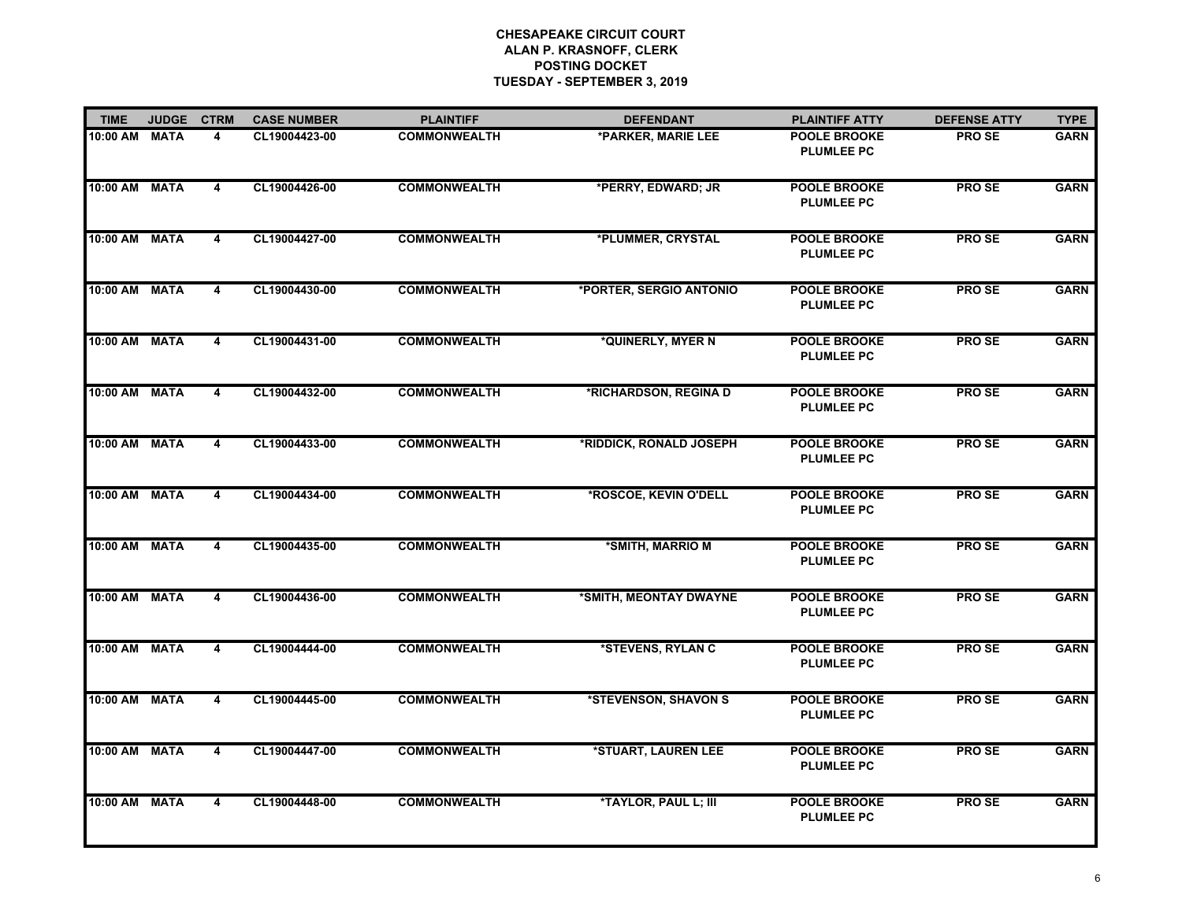| <b>TIME</b>   | <b>JUDGE</b> | <b>CTRM</b>             | <b>CASE NUMBER</b> | <b>PLAINTIFF</b>    | <b>DEFENDANT</b>        | <b>PLAINTIFF ATTY</b>                    | <b>DEFENSE ATTY</b> | <b>TYPE</b> |
|---------------|--------------|-------------------------|--------------------|---------------------|-------------------------|------------------------------------------|---------------------|-------------|
| 10:00 AM MATA |              | 4                       | CL19004423-00      | <b>COMMONWEALTH</b> | *PARKER, MARIE LEE      | <b>POOLE BROOKE</b><br><b>PLUMLEE PC</b> | <b>PROSE</b>        | <b>GARN</b> |
| 10:00 AM MATA |              | 4                       | CL19004426-00      | <b>COMMONWEALTH</b> | *PERRY, EDWARD; JR      | <b>POOLE BROOKE</b><br><b>PLUMLEE PC</b> | <b>PROSE</b>        | <b>GARN</b> |
| 10:00 AM MATA |              | $\overline{4}$          | CL19004427-00      | <b>COMMONWEALTH</b> | *PLUMMER, CRYSTAL       | <b>POOLE BROOKE</b><br><b>PLUMLEE PC</b> | <b>PROSE</b>        | <b>GARN</b> |
| 10:00 AM MATA |              | $\overline{4}$          | CL19004430-00      | <b>COMMONWEALTH</b> | *PORTER, SERGIO ANTONIO | <b>POOLE BROOKE</b><br><b>PLUMLEE PC</b> | <b>PROSE</b>        | <b>GARN</b> |
| 10:00 AM      | <b>MATA</b>  | 4                       | CL19004431-00      | <b>COMMONWEALTH</b> | *QUINERLY, MYER N       | <b>POOLE BROOKE</b><br><b>PLUMLEE PC</b> | <b>PROSE</b>        | <b>GARN</b> |
| 10:00 AM MATA |              | 4                       | CL19004432-00      | <b>COMMONWEALTH</b> | *RICHARDSON, REGINA D   | <b>POOLE BROOKE</b><br><b>PLUMLEE PC</b> | <b>PROSE</b>        | <b>GARN</b> |
| 10:00 AM MATA |              | 4                       | CL19004433-00      | <b>COMMONWEALTH</b> | *RIDDICK, RONALD JOSEPH | <b>POOLE BROOKE</b><br><b>PLUMLEE PC</b> | <b>PROSE</b>        | <b>GARN</b> |
| 10:00 AM MATA |              | 4                       | CL19004434-00      | <b>COMMONWEALTH</b> | *ROSCOE, KEVIN O'DELL   | <b>POOLE BROOKE</b><br><b>PLUMLEE PC</b> | <b>PROSE</b>        | <b>GARN</b> |
| 10:00 AM MATA |              | 4                       | CL19004435-00      | <b>COMMONWEALTH</b> | *SMITH, MARRIO M        | <b>POOLE BROOKE</b><br><b>PLUMLEE PC</b> | <b>PROSE</b>        | <b>GARN</b> |
| 10:00 AM MATA |              | 4                       | CL19004436-00      | <b>COMMONWEALTH</b> | *SMITH, MEONTAY DWAYNE  | <b>POOLE BROOKE</b><br><b>PLUMLEE PC</b> | <b>PROSE</b>        | <b>GARN</b> |
| 10:00 AM MATA |              | 4                       | CL19004444-00      | <b>COMMONWEALTH</b> | *STEVENS, RYLAN C       | <b>POOLE BROOKE</b><br><b>PLUMLEE PC</b> | <b>PROSE</b>        | <b>GARN</b> |
| 10:00 AM MATA |              | 4                       | CL19004445-00      | <b>COMMONWEALTH</b> | *STEVENSON, SHAVON S    | <b>POOLE BROOKE</b><br><b>PLUMLEE PC</b> | <b>PROSE</b>        | <b>GARN</b> |
| 10:00 AM      | <b>MATA</b>  | 4                       | CL19004447-00      | <b>COMMONWEALTH</b> | *STUART, LAUREN LEE     | <b>POOLE BROOKE</b><br><b>PLUMLEE PC</b> | <b>PROSE</b>        | <b>GARN</b> |
| 10:00 AM MATA |              | $\overline{\mathbf{4}}$ | CL19004448-00      | <b>COMMONWEALTH</b> | *TAYLOR, PAUL L; III    | <b>POOLE BROOKE</b><br><b>PLUMLEE PC</b> | <b>PROSE</b>        | <b>GARN</b> |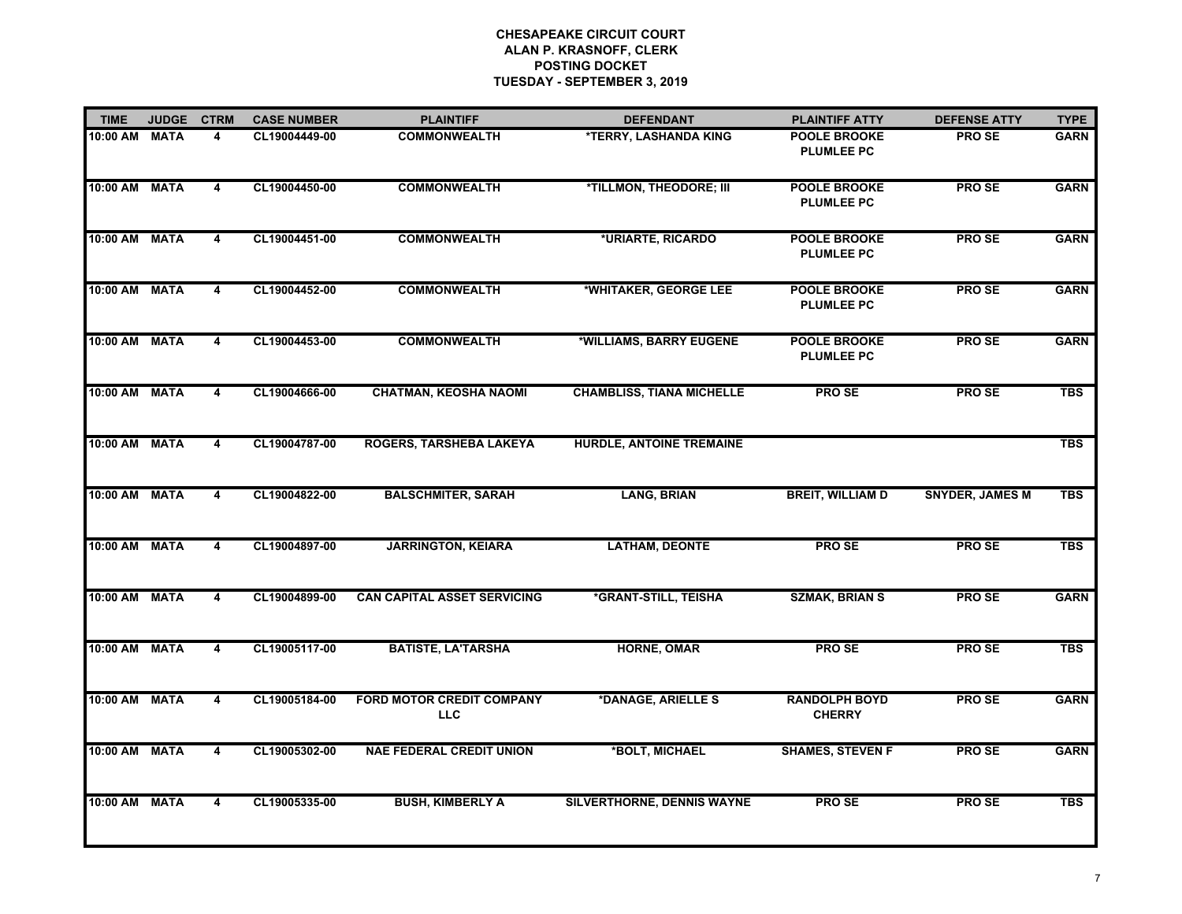| <b>TIME</b>   | <b>JUDGE</b> | <b>CTRM</b> | <b>CASE NUMBER</b> | <b>PLAINTIFF</b>                               | <b>DEFENDANT</b>                 | <b>PLAINTIFF ATTY</b>                    | <b>DEFENSE ATTY</b>    | <b>TYPE</b> |
|---------------|--------------|-------------|--------------------|------------------------------------------------|----------------------------------|------------------------------------------|------------------------|-------------|
| 10:00 AM      | <b>MATA</b>  | 4           | CL19004449-00      | <b>COMMONWEALTH</b>                            | *TERRY, LASHANDA KING            | <b>POOLE BROOKE</b><br><b>PLUMLEE PC</b> | <b>PROSE</b>           | <b>GARN</b> |
| 10:00 AM      | <b>MATA</b>  | 4           | CL19004450-00      | <b>COMMONWEALTH</b>                            | *TILLMON, THEODORE; III          | <b>POOLE BROOKE</b><br><b>PLUMLEE PC</b> | <b>PROSE</b>           | <b>GARN</b> |
| 10:00 AM MATA |              | 4           | CL19004451-00      | <b>COMMONWEALTH</b>                            | *URIARTE, RICARDO                | <b>POOLE BROOKE</b><br><b>PLUMLEE PC</b> | PRO SE                 | <b>GARN</b> |
| 10:00 AM      | <b>MATA</b>  | 4           | CL19004452-00      | <b>COMMONWEALTH</b>                            | *WHITAKER, GEORGE LEE            | <b>POOLE BROOKE</b><br><b>PLUMLEE PC</b> | <b>PROSE</b>           | <b>GARN</b> |
| 10:00 AM      | <b>MATA</b>  | 4           | CL19004453-00      | <b>COMMONWEALTH</b>                            | *WILLIAMS, BARRY EUGENE          | <b>POOLE BROOKE</b><br><b>PLUMLEE PC</b> | <b>PROSE</b>           | <b>GARN</b> |
| 10:00 AM      | <b>MATA</b>  | 4           | CL19004666-00      | <b>CHATMAN, KEOSHA NAOMI</b>                   | <b>CHAMBLISS, TIANA MICHELLE</b> | <b>PROSE</b>                             | <b>PROSE</b>           | <b>TBS</b>  |
| 10:00 AM      | <b>MATA</b>  | 4           | CL19004787-00      | ROGERS, TARSHEBA LAKEYA                        | <b>HURDLE, ANTOINE TREMAINE</b>  |                                          |                        | <b>TBS</b>  |
| 10:00 AM      | <b>MATA</b>  | 4           | CL19004822-00      | <b>BALSCHMITER, SARAH</b>                      | <b>LANG, BRIAN</b>               | <b>BREIT, WILLIAM D</b>                  | <b>SNYDER, JAMES M</b> | <b>TBS</b>  |
| 10:00 AM      | <b>MATA</b>  | 4           | CL19004897-00      | <b>JARRINGTON, KEIARA</b>                      | <b>LATHAM, DEONTE</b>            | <b>PROSE</b>                             | <b>PROSE</b>           | <b>TBS</b>  |
| 10:00 AM      | <b>MATA</b>  | 4           | CL19004899-00      | <b>CAN CAPITAL ASSET SERVICING</b>             | *GRANT-STILL, TEISHA             | <b>SZMAK, BRIAN S</b>                    | <b>PROSE</b>           | <b>GARN</b> |
| 10:00 AM MATA |              | 4           | CL19005117-00      | <b>BATISTE, LA'TARSHA</b>                      | <b>HORNE, OMAR</b>               | <b>PROSE</b>                             | <b>PROSE</b>           | <b>TBS</b>  |
| 10:00 AM      | <b>MATA</b>  | 4           | CL19005184-00      | <b>FORD MOTOR CREDIT COMPANY</b><br><b>LLC</b> | *DANAGE, ARIELLE S               | <b>RANDOLPH BOYD</b><br><b>CHERRY</b>    | <b>PROSE</b>           | <b>GARN</b> |
| 10:00 AM      | <b>MATA</b>  | 4           | CL19005302-00      | <b>NAE FEDERAL CREDIT UNION</b>                | *BOLT, MICHAEL                   | <b>SHAMES, STEVEN F</b>                  | <b>PROSE</b>           | <b>GARN</b> |
| 10:00 AM      | <b>MATA</b>  | 4           | CL19005335-00      | <b>BUSH, KIMBERLY A</b>                        | SILVERTHORNE, DENNIS WAYNE       | <b>PROSE</b>                             | <b>PROSE</b>           | <b>TBS</b>  |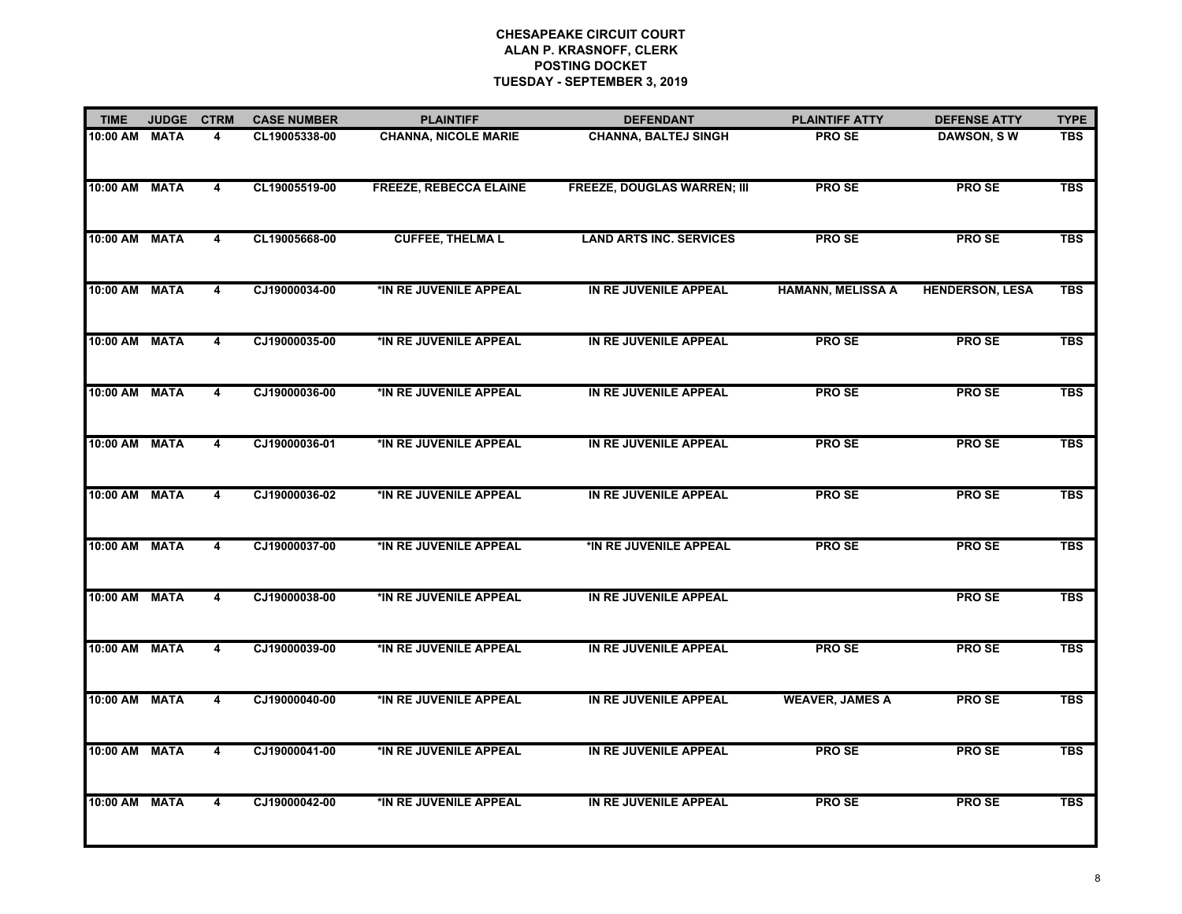| <b>TIME</b>   | <b>JUDGE</b> | <b>CTRM</b> | <b>CASE NUMBER</b> | <b>PLAINTIFF</b>              | <b>DEFENDANT</b>                   | <b>PLAINTIFF ATTY</b>    | <b>DEFENSE ATTY</b>    | <b>TYPE</b> |
|---------------|--------------|-------------|--------------------|-------------------------------|------------------------------------|--------------------------|------------------------|-------------|
| 10:00 AM      | <b>MATA</b>  | 4           | CL19005338-00      | <b>CHANNA, NICOLE MARIE</b>   | <b>CHANNA, BALTEJ SINGH</b>        | <b>PROSE</b>             | DAWSON, SW             | <b>TBS</b>  |
| 10:00 AM      | <b>MATA</b>  | 4           | CL19005519-00      | <b>FREEZE, REBECCA ELAINE</b> | <b>FREEZE, DOUGLAS WARREN; III</b> | <b>PROSE</b>             | <b>PROSE</b>           | <b>TBS</b>  |
| 10:00 AM MATA |              | 4           | CL19005668-00      | <b>CUFFEE, THELMAL</b>        | <b>LAND ARTS INC. SERVICES</b>     | PRO SE                   | PRO SE                 | <b>TBS</b>  |
| 10:00 AM      | <b>MATA</b>  | 4           | CJ19000034-00      | *IN RE JUVENILE APPEAL        | IN RE JUVENILE APPEAL              | <b>HAMANN, MELISSA A</b> | <b>HENDERSON, LESA</b> | <b>TBS</b>  |
| 10:00 AM      | <b>MATA</b>  | 4           | CJ19000035-00      | *IN RE JUVENILE APPEAL        | IN RE JUVENILE APPEAL              | <b>PROSE</b>             | PRO SE                 | <b>TBS</b>  |
| 10:00 AM      | <b>MATA</b>  | 4           | CJ19000036-00      | *IN RE JUVENILE APPEAL        | IN RE JUVENILE APPEAL              | <b>PROSE</b>             | <b>PROSE</b>           | <b>TBS</b>  |
| 10:00 AM      | <b>MATA</b>  | 4           | CJ19000036-01      | *IN RE JUVENILE APPEAL        | IN RE JUVENILE APPEAL              | <b>PROSE</b>             | <b>PROSE</b>           | <b>TBS</b>  |
| 10:00 AM      | <b>MATA</b>  | 4           | CJ19000036-02      | *IN RE JUVENILE APPEAL        | IN RE JUVENILE APPEAL              | <b>PROSE</b>             | <b>PROSE</b>           | <b>TBS</b>  |
| 10:00 AM      | <b>MATA</b>  | 4           | CJ19000037-00      | *IN RE JUVENILE APPEAL        | *IN RE JUVENILE APPEAL             | <b>PROSE</b>             | <b>PROSE</b>           | <b>TBS</b>  |
| 10:00 AM      | <b>MATA</b>  | 4           | CJ19000038-00      | *IN RE JUVENILE APPEAL        | IN RE JUVENILE APPEAL              |                          | <b>PROSE</b>           | <b>TBS</b>  |
| 10:00 AM MATA |              | 4           | CJ19000039-00      | *IN RE JUVENILE APPEAL        | IN RE JUVENILE APPEAL              | <b>PROSE</b>             | <b>PROSE</b>           | <b>TBS</b>  |
| 10:00 AM      | <b>MATA</b>  | 4           | CJ19000040-00      | *IN RE JUVENILE APPEAL        | IN RE JUVENILE APPEAL              | <b>WEAVER, JAMES A</b>   | <b>PROSE</b>           | <b>TBS</b>  |
| 10:00 AM      | <b>MATA</b>  | 4           | CJ19000041-00      | *IN RE JUVENILE APPEAL        | IN RE JUVENILE APPEAL              | <b>PROSE</b>             | <b>PROSE</b>           | <b>TBS</b>  |
| 10:00 AM      | <b>MATA</b>  | 4           | CJ19000042-00      | *IN RE JUVENILE APPEAL        | IN RE JUVENILE APPEAL              | <b>PROSE</b>             | <b>PROSE</b>           | <b>TBS</b>  |